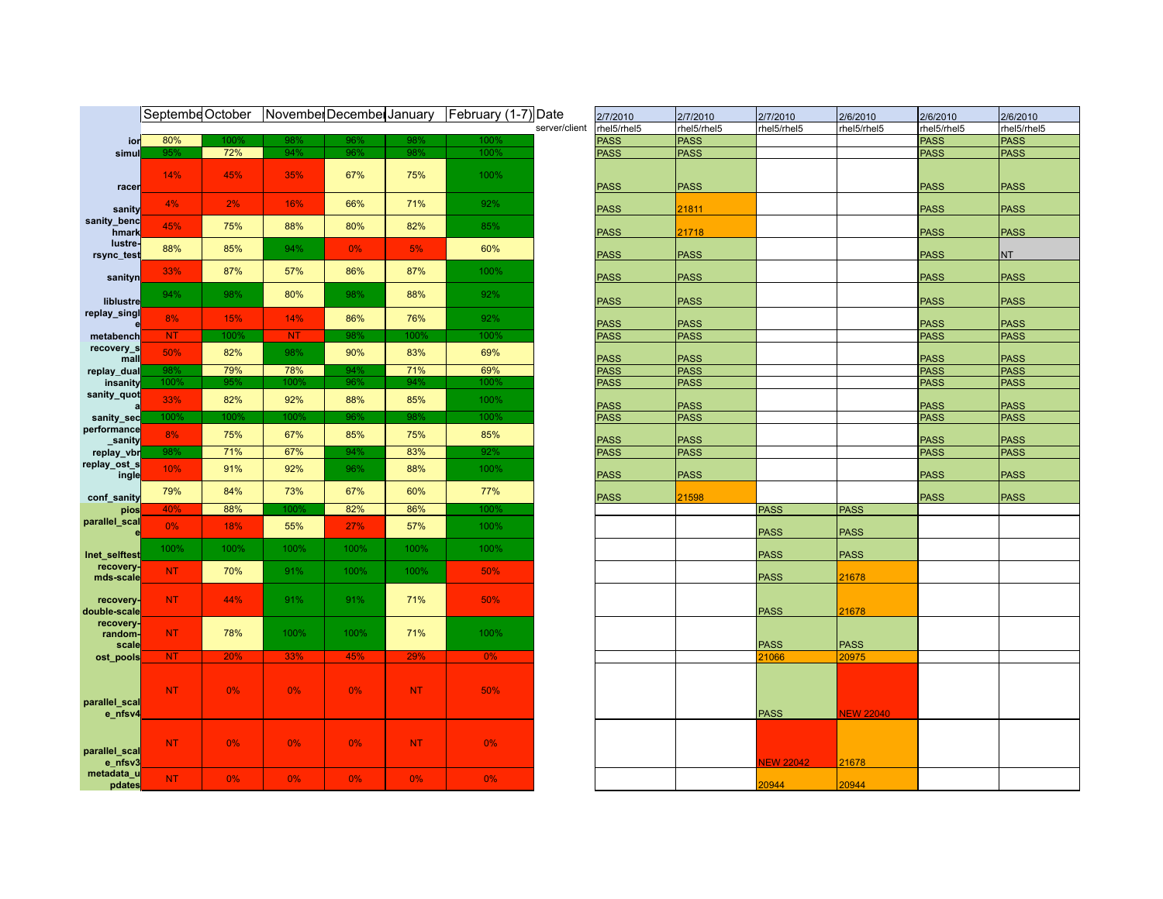|                               |                |       | Septembe October November December January |       |           | February (1-7) Date |               | 2/7/2010    | 2/7/2010    | 2/7/2010         | 2/6/2010         | 2/6/2010    | 2/6/2010    |
|-------------------------------|----------------|-------|--------------------------------------------|-------|-----------|---------------------|---------------|-------------|-------------|------------------|------------------|-------------|-------------|
|                               |                |       |                                            |       |           |                     | server/client | rhel5/rhel5 | rhel5/rhel5 | rhel5/rhel5      | rhel5/rhel5      | rhel5/rhel5 | rhel5/rhe   |
| ior                           | 80%            | 100%  | 98%                                        | 96%   | 98%       | 100%                |               | <b>PASS</b> | <b>PASS</b> |                  |                  | <b>PASS</b> | <b>PASS</b> |
| simul                         | 95%            | 72%   | 94%                                        | 96%   | 98%       | 100%                |               | <b>PASS</b> | <b>PASS</b> |                  |                  | <b>PASS</b> | <b>PASS</b> |
|                               | 14%            | 45%   | 35%                                        | 67%   | 75%       | 100%                |               |             |             |                  |                  |             |             |
| racer                         | 4%             | 2%    | 16%                                        | 66%   | 71%       | 92%                 |               | <b>PASS</b> | <b>PASS</b> |                  |                  | <b>PASS</b> | <b>PASS</b> |
| sanity                        |                |       |                                            |       |           |                     |               | <b>PASS</b> | 21811       |                  |                  | <b>PASS</b> | <b>PASS</b> |
| sanity_benc<br>hmark          | 45%            | 75%   | 88%                                        | 80%   | 82%       | 85%                 |               | <b>PASS</b> | 21718       |                  |                  | <b>PASS</b> | <b>PASS</b> |
| lustre-<br>rsync_test         | 88%            | 85%   | 94%                                        | $0\%$ | 5%        | 60%                 |               | <b>PASS</b> | <b>PASS</b> |                  |                  | <b>PASS</b> | <b>NT</b>   |
| sanityn                       | 33%            | 87%   | 57%                                        | 86%   | 87%       | 100%                |               | <b>PASS</b> | <b>PASS</b> |                  |                  | <b>PASS</b> | <b>PASS</b> |
| liblustre                     | 94%            | 98%   | 80%                                        | 98%   | 88%       | 92%                 |               | <b>PASS</b> | <b>PASS</b> |                  |                  | <b>PASS</b> | <b>PASS</b> |
| replay_singl                  | 8%             | 15%   | 14%                                        | 86%   | 76%       | 92%                 |               | <b>PASS</b> | <b>PASS</b> |                  |                  | <b>PASS</b> | <b>PASS</b> |
| metabench                     | NT             | 100%  | <b>NT</b>                                  | 98%   | 100%      | 100%                |               | <b>PASS</b> | <b>PASS</b> |                  |                  | <b>PASS</b> | <b>PASS</b> |
| recovery_s<br>mall            | 50%            | 82%   | 98%                                        | 90%   | 83%       | 69%                 |               | <b>PASS</b> | <b>PASS</b> |                  |                  | <b>PASS</b> | <b>PASS</b> |
| replay_dual                   | 98%            | 79%   | 78%                                        | 94%   | 71%       | 69%                 |               | <b>PASS</b> | PASS        |                  |                  | <b>PASS</b> | <b>PASS</b> |
| insanity                      | 100%           | 95%   | 100°                                       | 96%   | 94%       | 100%                |               | <b>PASS</b> | <b>PASS</b> |                  |                  | <b>PASS</b> | <b>PASS</b> |
| sanity_quot                   | 33%            | 82%   | 92%                                        | 88%   | 85%       | 100%                |               | <b>PASS</b> | <b>PASS</b> |                  |                  | <b>PASS</b> | <b>PASS</b> |
| sanity_sec                    | 100%           | 100%  | 100%                                       | 96%   | 98%       | 100%                |               | <b>PASS</b> | <b>PASS</b> |                  |                  | <b>PASS</b> | <b>PASS</b> |
| performance<br>sanity         | 8%             | 75%   | 67%                                        | 85%   | 75%       | 85%                 |               | <b>PASS</b> | <b>PASS</b> |                  |                  | <b>PASS</b> | <b>PASS</b> |
| replay_vbr                    | 98%            | 71%   | 67%                                        | 94%   | 83%       | 92%                 |               | <b>PASS</b> | <b>PASS</b> |                  |                  | <b>PASS</b> | <b>PASS</b> |
| replay_ost_s<br>ingle         | 10%            | 91%   | 92%                                        | 96%   | 88%       | 100%                |               | <b>PASS</b> | <b>PASS</b> |                  |                  | <b>PASS</b> | <b>PASS</b> |
| conf_sanity                   | 79%            | 84%   | 73%                                        | 67%   | 60%       | 77%                 |               | <b>PASS</b> | 21598       |                  |                  | <b>PASS</b> | <b>PASS</b> |
| pios                          | 40%            | 88%   | 100°,                                      | 82%   | 86%       | $100\%$             |               |             |             | <b>PASS</b>      | <b>PASS</b>      |             |             |
| parallel_scal                 | 0%             | 18%   | 55%                                        | 27%   | 57%       | 100%                |               |             |             | <b>PASS</b>      | <b>PASS</b>      |             |             |
| Inet_selftest                 | 100%           | 100%  | 100%                                       | 100%  | 100%      | 100%                |               |             |             | <b>PASS</b>      | <b>PASS</b>      |             |             |
| recovery-<br>mds-scale        | NT.            | 70%   | 91%                                        | 100%  | 100%      | 50%                 |               |             |             | <b>PASS</b>      | 21678            |             |             |
| recovery-<br>double-scale     | NT.            | 44%   | 91%                                        | 91%   | 71%       | 50%                 |               |             |             | <b>PASS</b>      | 21678            |             |             |
| recovery-<br>random-<br>scale | <b>NT</b>      | 78%   | 100%                                       | 100%  | 71%       | 100%                |               |             |             | <b>PASS</b>      | <b>PASS</b>      |             |             |
| ost_pools                     | N <sub>T</sub> | 20%   | 33%                                        | 45%   | 29%       | $0\%$               |               |             |             | 21066            | 20975            |             |             |
| parallel_scal                 | NT.            | $0\%$ | $0\%$                                      | $0\%$ | NT.       | 50%                 |               |             |             |                  |                  |             |             |
| e_nfsv4                       |                |       |                                            |       |           |                     |               |             |             | <b>PASS</b>      | <b>VEW 22040</b> |             |             |
| parallel_scal<br>e_nfsv3      | NT.            | 0%    | $0\%$                                      | $0\%$ | <b>NT</b> | $0\%$               |               |             |             | <b>VEW 22042</b> | 21678            |             |             |
| metadata_u<br>pdates          | <b>NT</b>      | 0%    | 0%                                         | $0\%$ | 0%        | 0%                  |               |             |             | 20944            | 20944            |             |             |

| Date          | 2/7/2010    | 2/7/2010    | 2/7/2010         | 2/6/2010         | 2/6/2010    | 2/6/2010    |
|---------------|-------------|-------------|------------------|------------------|-------------|-------------|
| server/client | rhel5/rhel5 | rhel5/rhel5 | rhel5/rhel5      | rhel5/rhel5      | rhel5/rhel5 | rhel5/rhel5 |
|               | <b>PASS</b> | <b>PASS</b> |                  |                  | <b>PASS</b> | <b>PASS</b> |
|               | <b>PASS</b> | <b>PASS</b> |                  |                  | <b>PASS</b> | <b>PASS</b> |
|               |             |             |                  |                  |             |             |
|               | <b>PASS</b> | <b>PASS</b> |                  |                  | <b>PASS</b> | <b>PASS</b> |
|               | <b>PASS</b> | 21811       |                  |                  | <b>PASS</b> | <b>PASS</b> |
|               | <b>PASS</b> | 21718       |                  |                  | <b>PASS</b> | <b>PASS</b> |
|               | <b>PASS</b> | <b>PASS</b> |                  |                  | <b>PASS</b> | NT          |
|               | <b>PASS</b> | <b>PASS</b> |                  |                  | <b>PASS</b> | <b>PASS</b> |
|               | <b>PASS</b> | <b>PASS</b> |                  |                  | <b>PASS</b> | <b>PASS</b> |
|               | <b>PASS</b> | <b>PASS</b> |                  |                  | <b>PASS</b> | <b>PASS</b> |
|               | <b>PASS</b> | <b>PASS</b> |                  |                  | <b>PASS</b> | <b>PASS</b> |
|               | <b>PASS</b> | <b>PASS</b> |                  |                  | <b>PASS</b> | <b>PASS</b> |
|               | <b>PASS</b> | <b>PASS</b> |                  |                  | <b>PASS</b> | <b>PASS</b> |
|               | <b>PASS</b> | <b>PASS</b> |                  |                  | <b>PASS</b> | <b>PASS</b> |
|               |             |             |                  |                  |             |             |
|               | <b>PASS</b> | <b>PASS</b> |                  |                  | <b>PASS</b> | <b>PASS</b> |
|               | <b>PASS</b> | <b>PASS</b> |                  |                  | <b>PASS</b> | <b>PASS</b> |
|               |             |             |                  |                  |             |             |
|               | <b>PASS</b> | <b>PASS</b> |                  |                  | <b>PASS</b> | <b>PASS</b> |
|               | <b>PASS</b> | <b>PASS</b> |                  |                  | <b>PASS</b> | <b>PASS</b> |
|               | <b>PASS</b> | <b>PASS</b> |                  |                  | <b>PASS</b> | <b>PASS</b> |
|               | <b>PASS</b> | 21598       |                  |                  | <b>PASS</b> | <b>PASS</b> |
|               |             |             | <b>PASS</b>      | <b>PASS</b>      |             |             |
|               |             |             |                  |                  |             |             |
|               |             |             | <b>PASS</b>      | <b>PASS</b>      |             |             |
|               |             |             | <b>PASS</b>      | <b>PASS</b>      |             |             |
|               |             |             | <b>PASS</b>      | 21678            |             |             |
|               |             |             |                  |                  |             |             |
|               |             |             | <b>PASS</b>      | 21678            |             |             |
|               |             |             |                  |                  |             |             |
|               |             |             | <b>PASS</b>      | <b>PASS</b>      |             |             |
|               |             |             | 21066            | 20975            |             |             |
|               |             |             |                  |                  |             |             |
|               |             |             |                  |                  |             |             |
|               |             |             |                  |                  |             |             |
|               |             |             | <b>PASS</b>      | <b>NEW 22040</b> |             |             |
|               |             |             |                  |                  |             |             |
|               |             |             |                  |                  |             |             |
|               |             |             | <b>NEW 22042</b> | 21678            |             |             |
|               |             |             | 20944            | 20944            |             |             |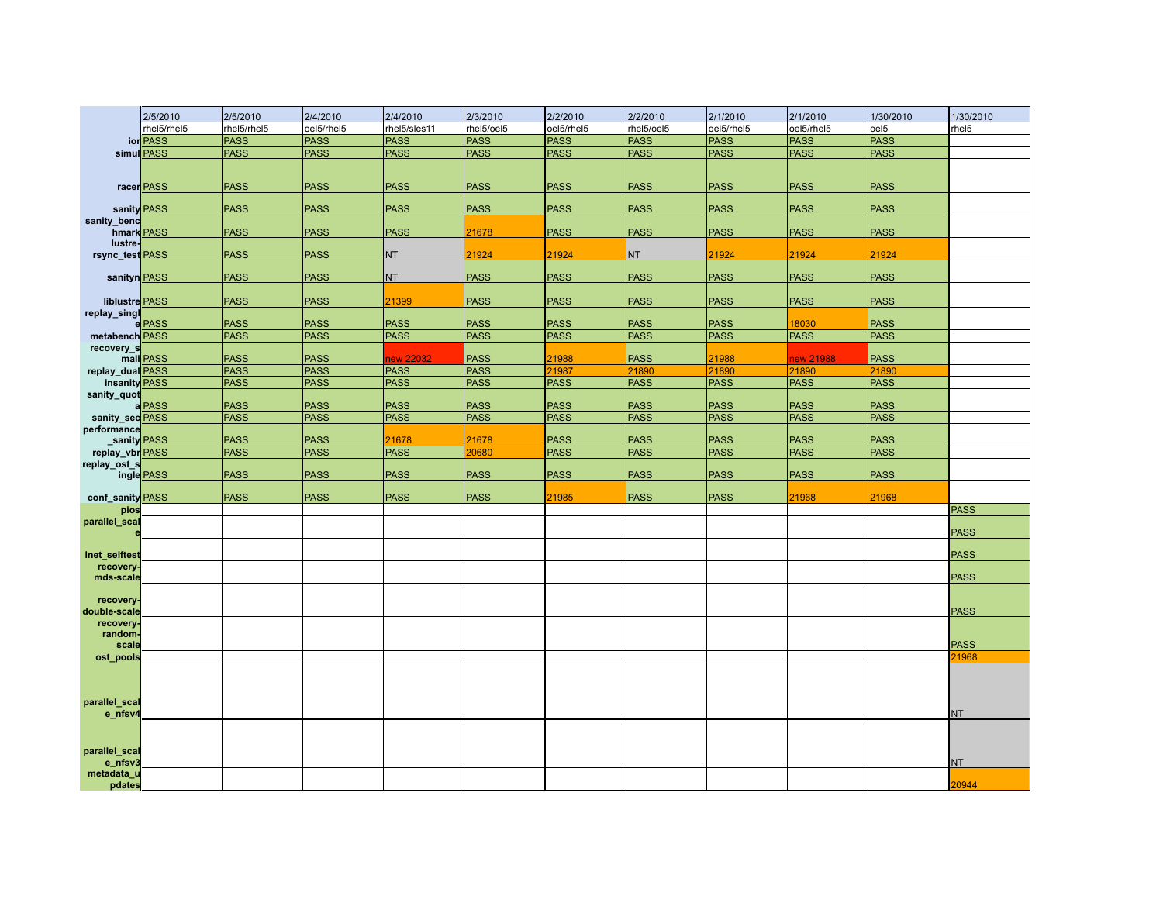|                                | 2/5/2010    | 2/5/2010    | 2/4/2010    | 2/4/2010     | 2/3/2010    | 2/2/2010    | 2/2/2010    | 2/1/2010    | 2/1/2010    | 1/30/2010        | 1/30/2010   |
|--------------------------------|-------------|-------------|-------------|--------------|-------------|-------------|-------------|-------------|-------------|------------------|-------------|
|                                | rhel5/rhel5 | rhel5/rhel5 | oel5/rhel5  | rhel5/sles11 | rhel5/oel5  | oel5/rhel5  | rhel5/oel5  | oel5/rhel5  | oel5/rhel5  | oel <sub>5</sub> | rhel5       |
|                                | ior PASS    | <b>PASS</b> | <b>PASS</b> | <b>PASS</b>  | <b>PASS</b> | <b>PASS</b> | PASS        | <b>PASS</b> | <b>PASS</b> | <b>PASS</b>      |             |
|                                | simul PASS  | <b>PASS</b> | <b>PASS</b> | <b>PASS</b>  | <b>PASS</b> | <b>PASS</b> | <b>PASS</b> | <b>PASS</b> | <b>PASS</b> | <b>PASS</b>      |             |
|                                |             |             |             |              |             |             |             |             |             |                  |             |
|                                | racer PASS  | <b>PASS</b> | <b>PASS</b> | <b>PASS</b>  | <b>PASS</b> | <b>PASS</b> | <b>PASS</b> | <b>PASS</b> | <b>PASS</b> | <b>PASS</b>      |             |
| sanity PASS                    |             | <b>PASS</b> | <b>PASS</b> | <b>PASS</b>  | <b>PASS</b> | <b>PASS</b> | <b>PASS</b> | <b>PASS</b> | <b>PASS</b> | <b>PASS</b>      |             |
| sanity_benc<br>hmark PASS      |             | <b>PASS</b> | <b>PASS</b> | <b>PASS</b>  | 21678       | <b>PASS</b> | <b>PASS</b> | <b>PASS</b> | <b>PASS</b> | <b>PASS</b>      |             |
| lustre-                        |             |             |             |              |             |             |             |             |             |                  |             |
| rsync_test PASS                |             | <b>PASS</b> | <b>PASS</b> | <b>NT</b>    | 21924       | 21924       | NT          | 21924       | 21924       | 21924            |             |
| sanityn PASS                   |             | <b>PASS</b> | <b>PASS</b> | <b>NT</b>    | <b>PASS</b> | <b>PASS</b> | <b>PASS</b> | <b>PASS</b> | <b>PASS</b> | <b>PASS</b>      |             |
| liblustre PASS<br>replay_singl |             | <b>PASS</b> | <b>PASS</b> | 21399        | <b>PASS</b> | <b>PASS</b> | <b>PASS</b> | <b>PASS</b> | <b>PASS</b> | <b>PASS</b>      |             |
|                                | e PASS      | <b>PASS</b> | <b>PASS</b> | <b>PASS</b>  | <b>PASS</b> | <b>PASS</b> | <b>PASS</b> | <b>PASS</b> | 18030       | <b>PASS</b>      |             |
| metabench PASS                 |             | <b>PASS</b> | <b>PASS</b> | <b>PASS</b>  | <b>PASS</b> | <b>PASS</b> | <b>PASS</b> | <b>PASS</b> | <b>PASS</b> | PASS             |             |
| recovery_s                     |             |             |             |              |             |             |             |             |             |                  |             |
|                                | mall PASS   | <b>PASS</b> | <b>PASS</b> | new 22032    | <b>PASS</b> | 21988       | <b>PASS</b> | 21988       | new 21988   | <b>PASS</b>      |             |
| replay_dualRASS                |             | <b>PASS</b> | <b>PASS</b> | <b>PASS</b>  | <b>PASS</b> | 21987       | 21890       | 21890       | 21890       | 21890            |             |
| insanity PASS                  |             | <b>PASS</b> | <b>PASS</b> | <b>PASS</b>  | <b>PASS</b> | <b>PASS</b> | <b>PASS</b> | <b>PASS</b> | <b>PASS</b> | <b>PASS</b>      |             |
| sanity_quot                    | aPASS       | <b>PASS</b> | <b>PASS</b> | <b>PASS</b>  | <b>PASS</b> | <b>PASS</b> | <b>PASS</b> | <b>PASS</b> | <b>PASS</b> | <b>PASS</b>      |             |
| sanity_sec <b>PASS</b>         |             | <b>PASS</b> | <b>PASS</b> | <b>PASS</b>  | <b>PASS</b> | <b>PASS</b> | <b>PASS</b> | PASS        | <b>PASS</b> | <b>PASS</b>      |             |
| performance                    |             |             |             |              |             |             |             |             |             |                  |             |
| sanity PASS                    |             | <b>PASS</b> | <b>PASS</b> | 21678        | 21678       | <b>PASS</b> | <b>PASS</b> | <b>PASS</b> | <b>PASS</b> | <b>PASS</b>      |             |
| replay_vbr PASS                |             | <b>PASS</b> | <b>PASS</b> | <b>PASS</b>  | 20680       | <b>PASS</b> | <b>PASS</b> | <b>PASS</b> | <b>PASS</b> | <b>PASS</b>      |             |
| replay_ost_s                   |             |             |             |              |             |             |             |             |             |                  |             |
|                                | ingle PASS  | <b>PASS</b> | <b>PASS</b> | <b>PASS</b>  | <b>PASS</b> | <b>PASS</b> | <b>PASS</b> | <b>PASS</b> | <b>PASS</b> | <b>PASS</b>      |             |
| conf sanity PASS               |             | <b>PASS</b> | <b>PASS</b> | <b>PASS</b>  | <b>PASS</b> | 21985       | <b>PASS</b> | <b>PASS</b> | 21968       | 21968            |             |
| pios                           |             |             |             |              |             |             |             |             |             |                  | <b>PASS</b> |
| parallel_scal                  |             |             |             |              |             |             |             |             |             |                  |             |
|                                |             |             |             |              |             |             |             |             |             |                  | <b>PASS</b> |
| Inet selftest                  |             |             |             |              |             |             |             |             |             |                  | <b>PASS</b> |
| recovery-                      |             |             |             |              |             |             |             |             |             |                  |             |
| mds-scale                      |             |             |             |              |             |             |             |             |             |                  | <b>PASS</b> |
| recovery-                      |             |             |             |              |             |             |             |             |             |                  |             |
| double-scale                   |             |             |             |              |             |             |             |             |             |                  | <b>PASS</b> |
| recovery-<br>random-           |             |             |             |              |             |             |             |             |             |                  |             |
| scale                          |             |             |             |              |             |             |             |             |             |                  | <b>PASS</b> |
| ost_pools                      |             |             |             |              |             |             |             |             |             |                  | 21968       |
|                                |             |             |             |              |             |             |             |             |             |                  |             |
|                                |             |             |             |              |             |             |             |             |             |                  |             |
| parallel_scal                  |             |             |             |              |             |             |             |             |             |                  |             |
| e_nfsv4                        |             |             |             |              |             |             |             |             |             |                  | <b>NT</b>   |
|                                |             |             |             |              |             |             |             |             |             |                  |             |
|                                |             |             |             |              |             |             |             |             |             |                  |             |
| parallel_scal<br>e_nfsv3       |             |             |             |              |             |             |             |             |             |                  | NT          |
| metadata_u                     |             |             |             |              |             |             |             |             |             |                  |             |
| pdates                         |             |             |             |              |             |             |             |             |             |                  | 20944       |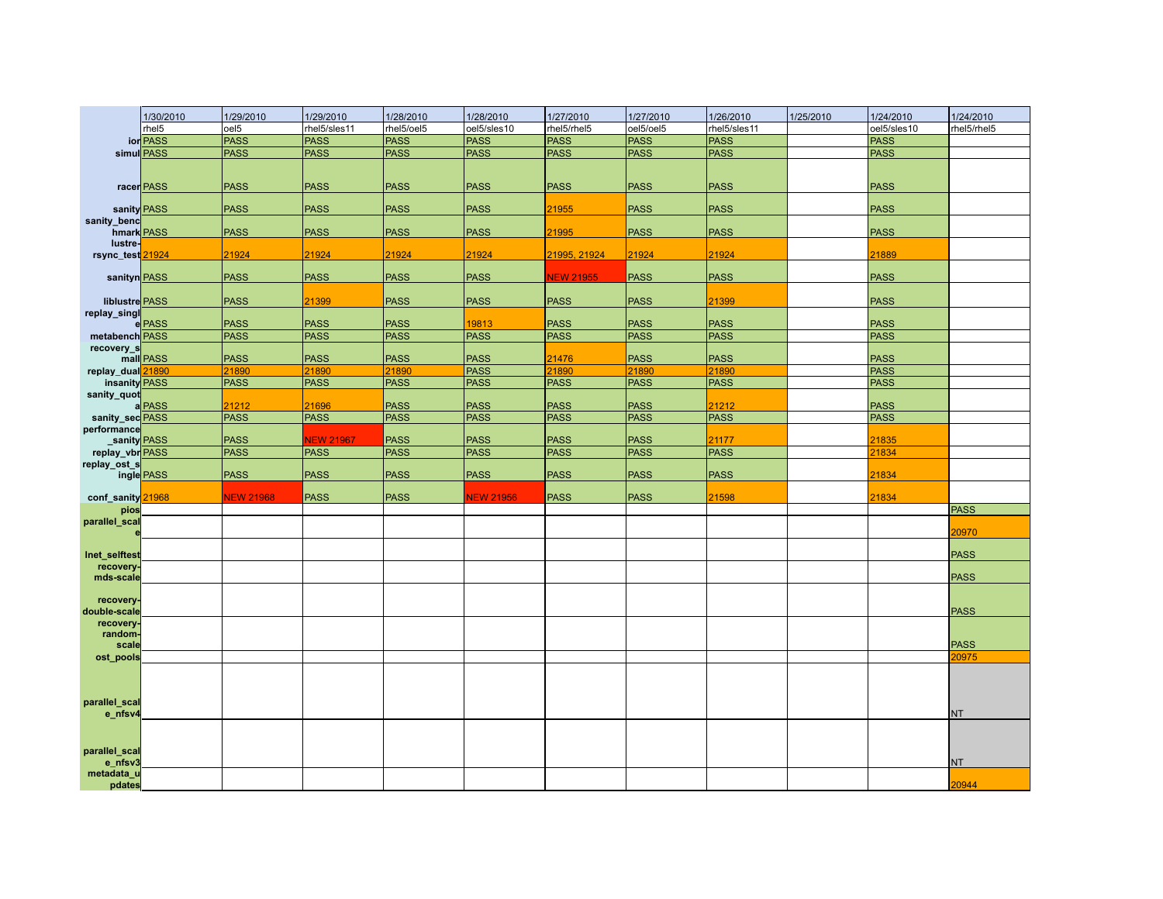|                            | 1/30/2010   | 1/29/2010            | 1/29/2010            | 1/28/2010                  | 1/28/2010                  | 1/27/2010                  | 1/27/2010                  | 1/26/2010            | 1/25/2010 | 1/24/2010           | 1/24/2010   |
|----------------------------|-------------|----------------------|----------------------|----------------------------|----------------------------|----------------------------|----------------------------|----------------------|-----------|---------------------|-------------|
|                            | rhel5       | oel <sub>5</sub>     | rhel5/sles11         | rhel5/oel5                 | oel5/sles10                | rhel5/rhel5                | oel5/oel5                  | rhel5/sles11         |           | oel5/sles10         | rhel5/rhel5 |
|                            | ior PASS    | <b>PASS</b>          | <b>PASS</b>          | <b>PASS</b>                | <b>PASS</b>                | <b>PASS</b>                | PASS                       | <b>PASS</b>          |           | <b>PASS</b>         |             |
|                            | simul PASS  | <b>PASS</b>          | <b>PASS</b>          | <b>PASS</b>                | <b>PASS</b>                | <b>PASS</b>                | <b>PASS</b>                | <b>PASS</b>          |           | <b>PASS</b>         |             |
|                            |             |                      |                      |                            |                            |                            |                            |                      |           |                     |             |
|                            | racer PASS  | <b>PASS</b>          | <b>PASS</b>          | <b>PASS</b>                | <b>PASS</b>                | <b>PASS</b>                | <b>PASS</b>                | <b>PASS</b>          |           | <b>PASS</b>         |             |
|                            | sanity PASS | <b>PASS</b>          | <b>PASS</b>          | <b>PASS</b>                | <b>PASS</b>                | 21955                      | <b>PASS</b>                | <b>PASS</b>          |           | <b>PASS</b>         |             |
| sanity_benc                | hmark PASS  | <b>PASS</b>          | <b>PASS</b>          | <b>PASS</b>                | <b>PASS</b>                | 21995                      | <b>PASS</b>                | <b>PASS</b>          |           | <b>PASS</b>         |             |
| lustre-                    |             |                      |                      |                            |                            |                            |                            |                      |           |                     |             |
| rsync_test21924            |             | 21924                | 21924                | 21924                      | 21924                      | 21995, 21924               | 21924                      | 21924                |           | 21889               |             |
| sanityn PASS               |             | <b>PASS</b>          | <b>PASS</b>          | <b>PASS</b>                | <b>PASS</b>                | <b>NEW 21955</b>           | <b>PASS</b>                | <b>PASS</b>          |           | <b>PASS</b>         |             |
| liblustre PASS             |             | <b>PASS</b>          | 21399                | <b>PASS</b>                | <b>PASS</b>                | <b>PASS</b>                | <b>PASS</b>                | 21399                |           | <b>PASS</b>         |             |
| replay_singl               | e PASS      | <b>PASS</b>          | <b>PASS</b>          | <b>PASS</b>                | 19813                      | <b>PASS</b>                | <b>PASS</b>                | <b>PASS</b>          |           | <b>PASS</b>         |             |
| metabench PASS             |             | <b>PASS</b>          | <b>PASS</b>          | <b>PASS</b>                | <b>PASS</b>                | <b>PASS</b>                | <b>PASS</b>                | <b>PASS</b>          |           | <b>PASS</b>         |             |
| recovery_s                 |             |                      |                      |                            |                            |                            |                            |                      |           |                     |             |
|                            | mall PASS   | <b>PASS</b>          | <b>PASS</b>          | <b>PASS</b>                | <b>PASS</b>                | 21476                      | <b>PASS</b>                | <b>PASS</b>          |           | <b>PASS</b>         |             |
| replay_dual                | 21890       | 21890                | 21890                | 21890                      | <b>PASS</b>                | 21890                      | 21890                      | 21890                |           | PASS                |             |
| insanity PASS              |             | <b>PASS</b>          | <b>PASS</b>          | <b>PASS</b>                | <b>PASS</b>                | <b>PASS</b>                | <b>PASS</b>                | <b>PASS</b>          |           | PASS                |             |
| sanity_quot                |             |                      |                      |                            |                            |                            |                            |                      |           |                     |             |
| sanity_sec <b>PASS</b>     | aPASS       | 21212<br><b>PASS</b> | 21696<br><b>PASS</b> | <b>PASS</b><br><b>PASS</b> | <b>PASS</b><br><b>PASS</b> | <b>PASS</b><br><b>PASS</b> | <b>PASS</b><br><b>PASS</b> | 21212<br><b>PASS</b> |           | <b>PASS</b><br>PASS |             |
| performance                |             |                      |                      |                            |                            |                            |                            |                      |           |                     |             |
|                            | sanity PASS | <b>PASS</b>          | <b>NEW 21967</b>     | <b>PASS</b>                | <b>PASS</b>                | <b>PASS</b>                | <b>PASS</b>                | 21177                |           | 21835               |             |
| replay_vbr PASS            |             | <b>PASS</b>          | <b>PASS</b>          | <b>PASS</b>                | <b>PASS</b>                | <b>PASS</b>                | <b>PASS</b>                | <b>PASS</b>          |           | 21834               |             |
| replay_ost_s               |             |                      |                      |                            |                            |                            |                            |                      |           |                     |             |
|                            | ingle PASS  | <b>PASS</b>          | <b>PASS</b>          | <b>PASS</b>                | <b>PASS</b>                | <b>PASS</b>                | <b>PASS</b>                | PASS                 |           | 21834               |             |
| conf sanity                | 21968       | <b>NEW 21968</b>     | <b>PASS</b>          | <b>PASS</b>                | <b>NEW 21956</b>           | <b>PASS</b>                | <b>PASS</b>                | 21598                |           | 21834               |             |
| pios                       |             |                      |                      |                            |                            |                            |                            |                      |           |                     | <b>PASS</b> |
| parallel_scal              |             |                      |                      |                            |                            |                            |                            |                      |           |                     |             |
|                            |             |                      |                      |                            |                            |                            |                            |                      |           |                     | 20970       |
| Inet selftest<br>recovery. |             |                      |                      |                            |                            |                            |                            |                      |           |                     | <b>PASS</b> |
| mds-scale                  |             |                      |                      |                            |                            |                            |                            |                      |           |                     | <b>PASS</b> |
| recovery-                  |             |                      |                      |                            |                            |                            |                            |                      |           |                     |             |
| double-scale               |             |                      |                      |                            |                            |                            |                            |                      |           |                     | <b>PASS</b> |
| recovery.                  |             |                      |                      |                            |                            |                            |                            |                      |           |                     |             |
| random-<br>scale           |             |                      |                      |                            |                            |                            |                            |                      |           |                     | <b>PASS</b> |
| ost_pools                  |             |                      |                      |                            |                            |                            |                            |                      |           |                     | 20975       |
|                            |             |                      |                      |                            |                            |                            |                            |                      |           |                     |             |
|                            |             |                      |                      |                            |                            |                            |                            |                      |           |                     |             |
|                            |             |                      |                      |                            |                            |                            |                            |                      |           |                     |             |
| parallel_scal<br>e_nfsv4   |             |                      |                      |                            |                            |                            |                            |                      |           |                     | <b>NT</b>   |
|                            |             |                      |                      |                            |                            |                            |                            |                      |           |                     |             |
| parallel_scal              |             |                      |                      |                            |                            |                            |                            |                      |           |                     |             |
| e_nfsv3                    |             |                      |                      |                            |                            |                            |                            |                      |           |                     | <b>NT</b>   |
| metadata_u<br>pdates       |             |                      |                      |                            |                            |                            |                            |                      |           |                     | 20944       |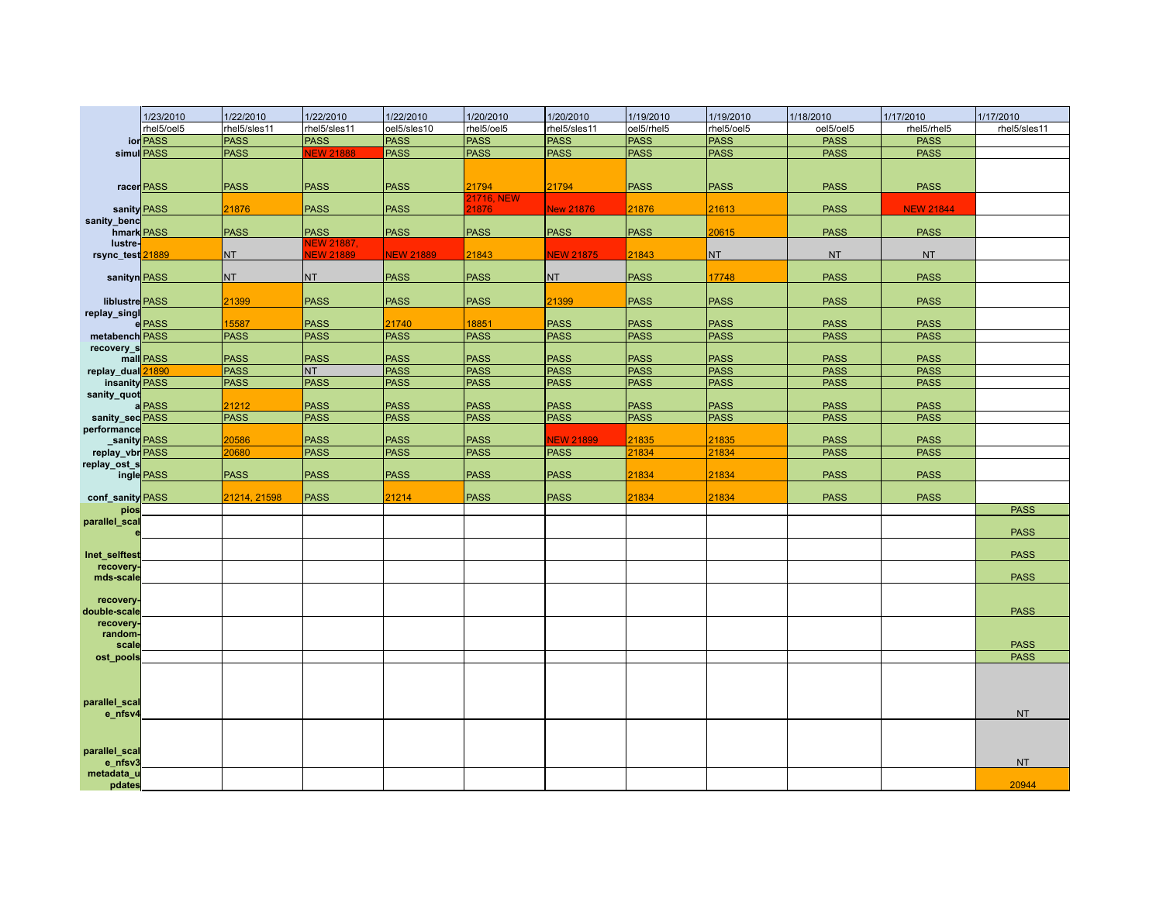|                                       | 1/23/2010   | 1/22/2010           | 1/22/2010                  | 1/22/2010                  | 1/20/2010                  | 1/20/2010                       | 1/19/2010                  | 1/19/2010                  | 1/18/2010                  | 1/17/2010                  | 1/17/2010    |
|---------------------------------------|-------------|---------------------|----------------------------|----------------------------|----------------------------|---------------------------------|----------------------------|----------------------------|----------------------------|----------------------------|--------------|
|                                       | rhel5/oel5  | rhel5/sles11        | rhel5/sles11               | oel5/sles10                | rhel5/oel5                 | rhel5/sles11                    | oel5/rhel5                 | rhel5/oel5                 | oel5/oel5                  | rhel5/rhel5                | rhel5/sles11 |
|                                       | ior PASS    | <b>PASS</b>         | <b>PASS</b>                | <b>PASS</b>                | <b>PASS</b>                | <b>PASS</b>                     | <b>PASS</b>                | <b>PASS</b>                | <b>PASS</b>                | <b>PASS</b>                |              |
|                                       | simul PASS  | <b>PASS</b>         | <b>NEW 21888</b>           | <b>PASS</b>                | <b>PASS</b>                | <b>PASS</b>                     | <b>PASS</b>                | <b>PASS</b>                | <b>PASS</b>                | <b>PASS</b>                |              |
|                                       |             |                     |                            |                            |                            |                                 |                            |                            |                            |                            |              |
|                                       | racer PASS  | <b>PASS</b>         | <b>PASS</b>                | <b>PASS</b>                | 21794                      | 21794                           | <b>PASS</b>                | <b>PASS</b>                | <b>PASS</b>                | <b>PASS</b>                |              |
|                                       |             |                     |                            |                            | 21716, NEW                 |                                 |                            |                            |                            |                            |              |
|                                       | sanity PASS | 21876               | <b>PASS</b>                | <b>PASS</b>                | 1876                       | <b>New 21876</b>                | 21876                      | 21613                      | <b>PASS</b>                | <b>NEW 21844</b>           |              |
| sanity_benc<br>hmark PASS             |             | <b>PASS</b>         | <b>PASS</b>                | <b>PASS</b>                | <b>PASS</b>                | <b>PASS</b>                     | <b>PASS</b>                | 20615                      | <b>PASS</b>                | <b>PASS</b>                |              |
| lustre-                               |             |                     | <b>NEW 21887.</b>          |                            |                            |                                 |                            |                            |                            |                            |              |
| rsync_test <sup>21889</sup>           |             | <b>NT</b>           | <b>VEW 21889</b>           | <b>NEW 21889</b>           | 21843                      | <b>NEW 21875</b>                | 21843                      | NT                         | <b>NT</b>                  | <b>NT</b>                  |              |
|                                       |             |                     |                            |                            |                            |                                 |                            |                            |                            |                            |              |
| sanityn PASS                          |             | <b>NT</b>           | <b>NT</b>                  | <b>PASS</b>                | <b>PASS</b>                | <b>NT</b>                       | <b>PASS</b>                | 17748                      | <b>PASS</b>                | <b>PASS</b>                |              |
| liblustre PASS                        |             | 21399               | <b>PASS</b>                | <b>PASS</b>                | <b>PASS</b>                | 21399                           | <b>PASS</b>                | <b>PASS</b>                | <b>PASS</b>                | <b>PASS</b>                |              |
| replay_singl                          |             |                     |                            |                            |                            |                                 |                            |                            |                            |                            |              |
|                                       | e PASS      | 15587               | <b>PASS</b>                | 21740                      | 18851                      | <b>PASS</b>                     | <b>PASS</b>                | <b>PASS</b>                | <b>PASS</b>                | <b>PASS</b>                |              |
| metabench PASS                        |             | <b>PASS</b>         | <b>PASS</b>                | <b>PASS</b>                | <b>PASS</b>                | <b>PASS</b>                     | <b>PASS</b>                | <b>PASS</b>                | <b>PASS</b>                | <b>PASS</b>                |              |
| recovery_s                            |             |                     |                            |                            |                            |                                 |                            |                            |                            |                            |              |
| replay_dual 21890                     | mall PASS   | <b>PASS</b><br>PASS | <b>PASS</b><br><b>NT</b>   | <b>PASS</b><br><b>PASS</b> | <b>PASS</b><br><b>PASS</b> | <b>PASS</b><br><b>PASS</b>      | <b>PASS</b><br><b>PASS</b> | <b>PASS</b><br><b>PASS</b> | <b>PASS</b><br><b>PASS</b> | <b>PASS</b><br><b>PASS</b> |              |
| insanity PASS                         |             | <b>PASS</b>         | <b>PASS</b>                | <b>PASS</b>                | <b>PASS</b>                | <b>PASS</b>                     | <b>PASS</b>                | <b>PASS</b>                | <b>PASS</b>                | <b>PASS</b>                |              |
| sanity_quot                           |             |                     |                            |                            |                            |                                 |                            |                            |                            |                            |              |
|                                       | a PASS      | 21212               | <b>PASS</b>                | <b>PASS</b>                | <b>PASS</b>                | <b>PASS</b>                     | <b>PASS</b>                | <b>PASS</b>                | <b>PASS</b>                | <b>PASS</b>                |              |
| sanity_secPASS                        |             | <b>PASS</b>         | <b>PASS</b>                | <b>PASS</b>                | <b>PASS</b>                | <b>PASS</b>                     | <b>PASS</b>                | <b>PASS</b>                | <b>PASS</b>                | <b>PASS</b>                |              |
| performance                           |             | 20586               |                            |                            |                            |                                 |                            |                            |                            |                            |              |
| sanity PASS<br>replay_vbr <b>PASS</b> |             | 20680               | <b>PASS</b><br><b>PASS</b> | <b>PASS</b><br><b>PASS</b> | <b>PASS</b><br><b>PASS</b> | <b>VEW 21899</b><br><b>PASS</b> | 21835<br>21834             | 21835<br>21834             | <b>PASS</b><br><b>PASS</b> | <b>PASS</b><br><b>PASS</b> |              |
| replay_ost_s                          |             |                     |                            |                            |                            |                                 |                            |                            |                            |                            |              |
|                                       | ingle PASS  | <b>PASS</b>         | <b>PASS</b>                | <b>PASS</b>                | <b>PASS</b>                | <b>PASS</b>                     | 21834                      | 21834                      | <b>PASS</b>                | <b>PASS</b>                |              |
|                                       |             |                     |                            |                            |                            |                                 |                            |                            |                            |                            |              |
| conf_sanity PASS<br>pios              |             | 21214, 21598        | <b>PASS</b>                | 21214                      | <b>PASS</b>                | <b>PASS</b>                     | 21834                      | 21834                      | <b>PASS</b>                | <b>PASS</b>                | <b>PASS</b>  |
| parallel_scal                         |             |                     |                            |                            |                            |                                 |                            |                            |                            |                            |              |
|                                       |             |                     |                            |                            |                            |                                 |                            |                            |                            |                            | <b>PASS</b>  |
|                                       |             |                     |                            |                            |                            |                                 |                            |                            |                            |                            |              |
| Inet_selftest<br>recovery.            |             |                     |                            |                            |                            |                                 |                            |                            |                            |                            | <b>PASS</b>  |
| mds-scale                             |             |                     |                            |                            |                            |                                 |                            |                            |                            |                            | <b>PASS</b>  |
|                                       |             |                     |                            |                            |                            |                                 |                            |                            |                            |                            |              |
| recovery-                             |             |                     |                            |                            |                            |                                 |                            |                            |                            |                            |              |
| double-scale<br>recovery.             |             |                     |                            |                            |                            |                                 |                            |                            |                            |                            | <b>PASS</b>  |
| random-                               |             |                     |                            |                            |                            |                                 |                            |                            |                            |                            |              |
| scale                                 |             |                     |                            |                            |                            |                                 |                            |                            |                            |                            | <b>PASS</b>  |
| ost_pools                             |             |                     |                            |                            |                            |                                 |                            |                            |                            |                            | <b>PASS</b>  |
|                                       |             |                     |                            |                            |                            |                                 |                            |                            |                            |                            |              |
|                                       |             |                     |                            |                            |                            |                                 |                            |                            |                            |                            |              |
| parallel_scal                         |             |                     |                            |                            |                            |                                 |                            |                            |                            |                            |              |
| e_nfsv4                               |             |                     |                            |                            |                            |                                 |                            |                            |                            |                            | <b>NT</b>    |
|                                       |             |                     |                            |                            |                            |                                 |                            |                            |                            |                            |              |
|                                       |             |                     |                            |                            |                            |                                 |                            |                            |                            |                            |              |
| parallel_scal                         |             |                     |                            |                            |                            |                                 |                            |                            |                            |                            |              |
| e_nfsv3<br>metadata_u                 |             |                     |                            |                            |                            |                                 |                            |                            |                            |                            | <b>NT</b>    |
| pdates                                |             |                     |                            |                            |                            |                                 |                            |                            |                            |                            | 20944        |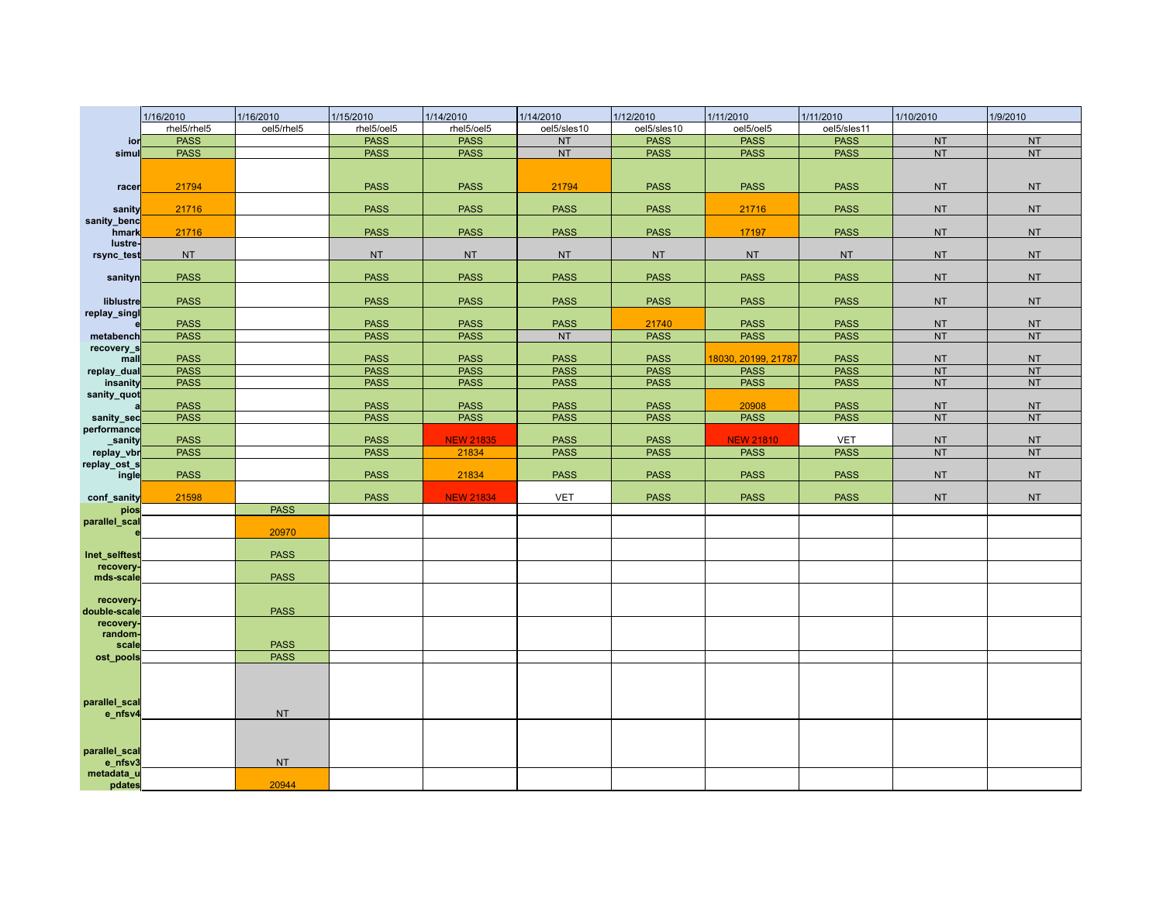|                          | 1/16/2010   | 1/16/2010   | 1/15/2010   | 1/14/2010        | 1/14/2010   | 1/12/2010   | 1/11/2010           | 1/11/2010   | 1/10/2010 | 1/9/2010  |
|--------------------------|-------------|-------------|-------------|------------------|-------------|-------------|---------------------|-------------|-----------|-----------|
|                          | rhel5/rhel5 | oel5/rhel5  | rhel5/oel5  | rhel5/oel5       | oel5/sles10 | oel5/sles10 | oel5/oel5           | oel5/sles11 |           |           |
| ior                      | <b>PASS</b> |             | <b>PASS</b> | <b>PASS</b>      | <b>NT</b>   | <b>PASS</b> | <b>PASS</b>         | <b>PASS</b> | <b>NT</b> | <b>NT</b> |
| simul                    | <b>PASS</b> |             | <b>PASS</b> | <b>PASS</b>      | <b>NT</b>   | <b>PASS</b> | <b>PASS</b>         | <b>PASS</b> | <b>NT</b> | <b>NT</b> |
|                          |             |             |             |                  |             |             |                     |             |           |           |
| racer                    | 21794       |             | <b>PASS</b> | <b>PASS</b>      | 21794       | <b>PASS</b> | <b>PASS</b>         | <b>PASS</b> | <b>NT</b> | <b>NT</b> |
|                          |             |             |             |                  |             |             |                     |             |           |           |
| sanity<br>sanity_benc    | 21716       |             | <b>PASS</b> | <b>PASS</b>      | <b>PASS</b> | <b>PASS</b> | 21716               | <b>PASS</b> | <b>NT</b> | <b>NT</b> |
| hmark                    | 21716       |             | <b>PASS</b> | <b>PASS</b>      | <b>PASS</b> | <b>PASS</b> | 17197               | <b>PASS</b> | <b>NT</b> | <b>NT</b> |
| lustre-<br>rsync_test    | <b>NT</b>   |             | <b>NT</b>   | <b>NT</b>        | <b>NT</b>   | <b>NT</b>   | <b>NT</b>           | <b>NT</b>   | <b>NT</b> | <b>NT</b> |
|                          |             |             |             |                  |             |             |                     |             |           |           |
| sanityn                  | <b>PASS</b> |             | <b>PASS</b> | <b>PASS</b>      | <b>PASS</b> | <b>PASS</b> | <b>PASS</b>         | <b>PASS</b> | <b>NT</b> | <b>NT</b> |
| liblustre                | <b>PASS</b> |             | <b>PASS</b> | <b>PASS</b>      | <b>PASS</b> | <b>PASS</b> | <b>PASS</b>         | <b>PASS</b> | <b>NT</b> | <b>NT</b> |
| replay_singl             | <b>PASS</b> |             | <b>PASS</b> | <b>PASS</b>      | <b>PASS</b> | 21740       | <b>PASS</b>         | <b>PASS</b> | <b>NT</b> | <b>NT</b> |
| metabench                | <b>PASS</b> |             | <b>PASS</b> | <b>PASS</b>      | <b>NT</b>   | <b>PASS</b> | <b>PASS</b>         | <b>PASS</b> | <b>NT</b> | <b>NT</b> |
| recovery_s               |             |             |             |                  |             |             |                     |             |           |           |
| mall                     | <b>PASS</b> |             | <b>PASS</b> | <b>PASS</b>      | <b>PASS</b> | <b>PASS</b> | 18030, 20199, 21787 | <b>PASS</b> | <b>NT</b> | <b>NT</b> |
| replay_dual              | <b>PASS</b> |             | <b>PASS</b> | <b>PASS</b>      | <b>PASS</b> | <b>PASS</b> | <b>PASS</b>         | <b>PASS</b> | NT        | <b>NT</b> |
| insanity                 | <b>PASS</b> |             | <b>PASS</b> | <b>PASS</b>      | <b>PASS</b> | <b>PASS</b> | <b>PASS</b>         | <b>PASS</b> | <b>NT</b> | <b>NT</b> |
| sanity_quot              |             |             |             |                  |             |             |                     |             |           |           |
|                          | <b>PASS</b> |             | <b>PASS</b> | <b>PASS</b>      | <b>PASS</b> | <b>PASS</b> | 20908               | <b>PASS</b> | <b>NT</b> | <b>NT</b> |
| sanity_sec               | <b>PASS</b> |             | <b>PASS</b> | <b>PASS</b>      | <b>PASS</b> | <b>PASS</b> | <b>PASS</b>         | <b>PASS</b> | <b>NT</b> | <b>NT</b> |
| performance<br>sanity    | <b>PASS</b> |             | <b>PASS</b> | <b>NEW 21835</b> | <b>PASS</b> | <b>PASS</b> | <b>NEW 21810</b>    | <b>VET</b>  | <b>NT</b> | <b>NT</b> |
| replay_vbr               | <b>PASS</b> |             | <b>PASS</b> | 21834            | <b>PASS</b> | <b>PASS</b> | <b>PASS</b>         | <b>PASS</b> | <b>NT</b> | <b>NT</b> |
| replay_ost_s             |             |             |             |                  |             |             |                     |             |           |           |
| ingle                    | <b>PASS</b> |             | <b>PASS</b> | 21834            | <b>PASS</b> | <b>PASS</b> | <b>PASS</b>         | <b>PASS</b> | <b>NT</b> | <b>NT</b> |
| conf_sanity              | 21598       |             | <b>PASS</b> | <b>NEW 21834</b> | <b>VET</b>  | <b>PASS</b> | <b>PASS</b>         | <b>PASS</b> | <b>NT</b> | <b>NT</b> |
| pios                     |             | <b>PASS</b> |             |                  |             |             |                     |             |           |           |
| parallel_scal            |             |             |             |                  |             |             |                     |             |           |           |
|                          |             | 20970       |             |                  |             |             |                     |             |           |           |
| Inet_selftest            |             | <b>PASS</b> |             |                  |             |             |                     |             |           |           |
| recovery-                |             |             |             |                  |             |             |                     |             |           |           |
| mds-scale                |             | <b>PASS</b> |             |                  |             |             |                     |             |           |           |
| recovery-                |             |             |             |                  |             |             |                     |             |           |           |
| double-scale             |             | <b>PASS</b> |             |                  |             |             |                     |             |           |           |
| recovery-                |             |             |             |                  |             |             |                     |             |           |           |
| random-<br>scale         |             | <b>PASS</b> |             |                  |             |             |                     |             |           |           |
| ost_pools                |             | <b>PASS</b> |             |                  |             |             |                     |             |           |           |
|                          |             |             |             |                  |             |             |                     |             |           |           |
|                          |             |             |             |                  |             |             |                     |             |           |           |
|                          |             |             |             |                  |             |             |                     |             |           |           |
| parallel_scal<br>e_nfsv4 |             | <b>NT</b>   |             |                  |             |             |                     |             |           |           |
|                          |             |             |             |                  |             |             |                     |             |           |           |
|                          |             |             |             |                  |             |             |                     |             |           |           |
| parallel_scal            |             |             |             |                  |             |             |                     |             |           |           |
| e_nfsv3                  |             | <b>NT</b>   |             |                  |             |             |                     |             |           |           |
| metadata_u               |             | 20944       |             |                  |             |             |                     |             |           |           |
| pdates                   |             |             |             |                  |             |             |                     |             |           |           |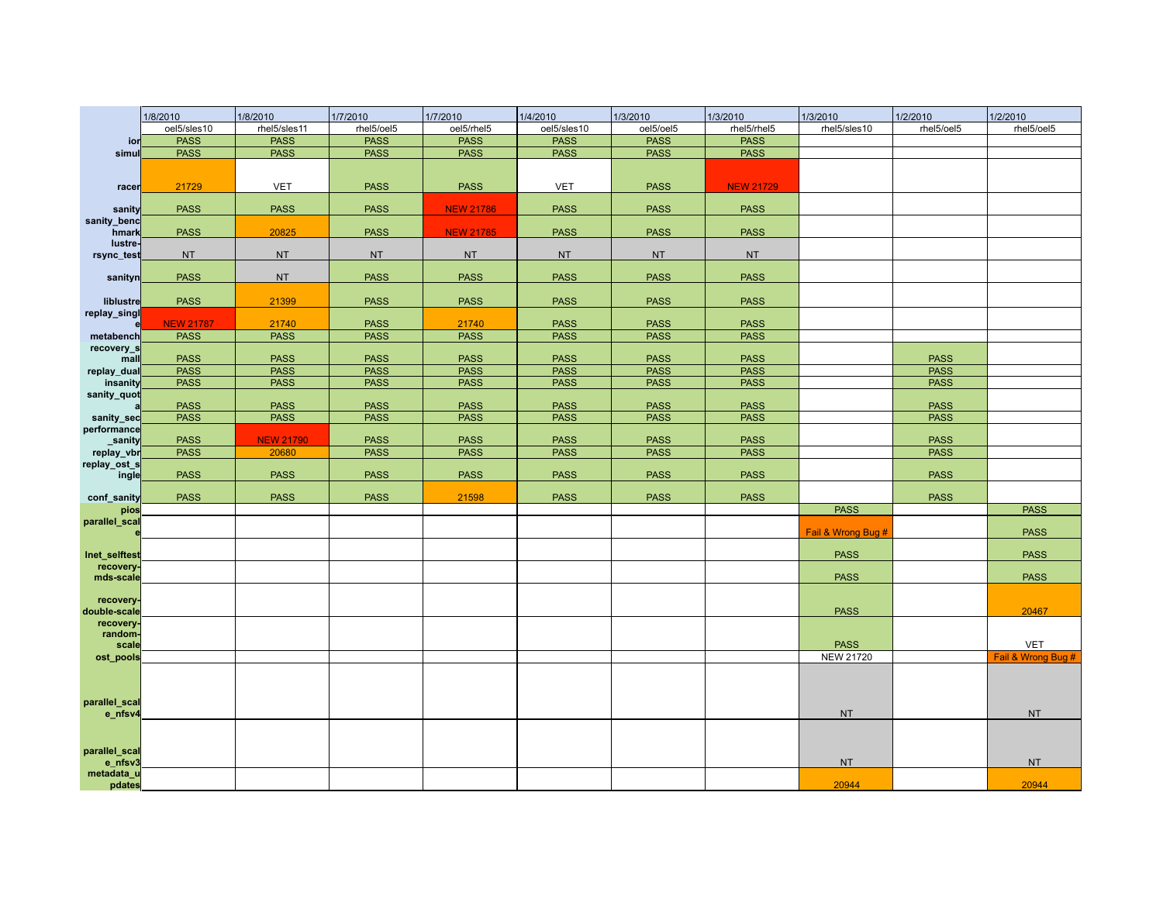|                              | 1/8/2010         | 1/8/2010         | 1/7/2010    | 1/7/2010         | 1/4/2010    | 1/3/2010    | 1/3/2010         | 1/3/2010           | 1/2/2010    | 1/2/2010           |
|------------------------------|------------------|------------------|-------------|------------------|-------------|-------------|------------------|--------------------|-------------|--------------------|
|                              | oel5/sles10      | rhel5/sles11     | rhel5/oel5  | oel5/rhel5       | oel5/sles10 | oel5/oel5   | rhel5/rhel5      | rhel5/sles10       | rhel5/oel5  | rhel5/oel5         |
| ior                          | <b>PASS</b>      | <b>PASS</b>      | <b>PASS</b> | <b>PASS</b>      | <b>PASS</b> | <b>PASS</b> | <b>PASS</b>      |                    |             |                    |
| simu                         | <b>PASS</b>      | <b>PASS</b>      | <b>PASS</b> | <b>PASS</b>      | <b>PASS</b> | <b>PASS</b> | <b>PASS</b>      |                    |             |                    |
|                              |                  |                  |             |                  |             |             |                  |                    |             |                    |
| racer                        | 21729            | <b>VET</b>       | <b>PASS</b> | <b>PASS</b>      | <b>VET</b>  | <b>PASS</b> | <b>NEW 21729</b> |                    |             |                    |
| sanity                       | <b>PASS</b>      | <b>PASS</b>      | <b>PASS</b> | <b>NEW 21786</b> | <b>PASS</b> | <b>PASS</b> | <b>PASS</b>      |                    |             |                    |
| sanity_benc<br>hmark         | <b>PASS</b>      | 20825            | <b>PASS</b> | <b>NEW 21785</b> | <b>PASS</b> | <b>PASS</b> | <b>PASS</b>      |                    |             |                    |
| lustre-<br>rsync_test        | <b>NT</b>        | <b>NT</b>        | <b>NT</b>   | <b>NT</b>        | <b>NT</b>   | <b>NT</b>   | <b>NT</b>        |                    |             |                    |
| sanityn                      | <b>PASS</b>      | <b>NT</b>        | <b>PASS</b> | <b>PASS</b>      | <b>PASS</b> | <b>PASS</b> | <b>PASS</b>      |                    |             |                    |
| liblustre                    | <b>PASS</b>      | 21399            | <b>PASS</b> | <b>PASS</b>      | <b>PASS</b> | <b>PASS</b> | <b>PASS</b>      |                    |             |                    |
| replay_singl                 | <b>NEW 21787</b> | 21740            | <b>PASS</b> | 21740            | <b>PASS</b> | <b>PASS</b> | <b>PASS</b>      |                    |             |                    |
| metabench                    | <b>PASS</b>      | <b>PASS</b>      | <b>PASS</b> | <b>PASS</b>      | <b>PASS</b> | <b>PASS</b> | <b>PASS</b>      |                    |             |                    |
| recovery_s<br>mall           | <b>PASS</b>      | <b>PASS</b>      | <b>PASS</b> | <b>PASS</b>      | <b>PASS</b> | <b>PASS</b> | <b>PASS</b>      |                    | <b>PASS</b> |                    |
| replay_dual                  | <b>PASS</b>      | <b>PASS</b>      | <b>PASS</b> | <b>PASS</b>      | <b>PASS</b> | <b>PASS</b> | <b>PASS</b>      |                    | <b>PASS</b> |                    |
| insanity                     | <b>PASS</b>      | <b>PASS</b>      | <b>PASS</b> | <b>PASS</b>      | <b>PASS</b> | <b>PASS</b> | <b>PASS</b>      |                    | <b>PASS</b> |                    |
| sanity_quot                  | <b>PASS</b>      | <b>PASS</b>      | <b>PASS</b> | <b>PASS</b>      | <b>PASS</b> | <b>PASS</b> | <b>PASS</b>      |                    | <b>PASS</b> |                    |
| sanity_sec                   | <b>PASS</b>      | <b>PASS</b>      | <b>PASS</b> | <b>PASS</b>      | <b>PASS</b> | <b>PASS</b> | <b>PASS</b>      |                    | <b>PASS</b> |                    |
| performance                  |                  |                  |             |                  |             |             |                  |                    |             |                    |
| sanity                       | <b>PASS</b>      | <b>NEW 21790</b> | <b>PASS</b> | <b>PASS</b>      | <b>PASS</b> | <b>PASS</b> | <b>PASS</b>      |                    | <b>PASS</b> |                    |
| replay_vbr                   | <b>PASS</b>      | 20680            | <b>PASS</b> | <b>PASS</b>      | <b>PASS</b> | <b>PASS</b> | <b>PASS</b>      |                    | <b>PASS</b> |                    |
| replay_ost_s<br>ingle        | <b>PASS</b>      | <b>PASS</b>      | <b>PASS</b> | <b>PASS</b>      | <b>PASS</b> | <b>PASS</b> | <b>PASS</b>      |                    | <b>PASS</b> |                    |
| conf_sanity                  | <b>PASS</b>      | <b>PASS</b>      | <b>PASS</b> | 21598            | <b>PASS</b> | <b>PASS</b> | <b>PASS</b>      |                    | <b>PASS</b> |                    |
| pios                         |                  |                  |             |                  |             |             |                  | <b>PASS</b>        |             | <b>PASS</b>        |
| parallel_scal                |                  |                  |             |                  |             |             |                  | Fail & Wrong Bug # |             | <b>PASS</b>        |
| Inet_selftes                 |                  |                  |             |                  |             |             |                  | <b>PASS</b>        |             | <b>PASS</b>        |
| recovery<br>mds-scale        |                  |                  |             |                  |             |             |                  | <b>PASS</b>        |             | <b>PASS</b>        |
| recovery.<br>double-scale    |                  |                  |             |                  |             |             |                  | <b>PASS</b>        |             | 20467              |
|                              |                  |                  |             |                  |             |             |                  |                    |             |                    |
| recovery<br>random-<br>scale |                  |                  |             |                  |             |             |                  | <b>PASS</b>        |             | <b>VET</b>         |
| ost_pools                    |                  |                  |             |                  |             |             |                  | <b>NEW 21720</b>   |             | Fail & Wrong Bug # |
|                              |                  |                  |             |                  |             |             |                  |                    |             |                    |
| parallel_scal                |                  |                  |             |                  |             |             |                  |                    |             |                    |
| e_nfsv4                      |                  |                  |             |                  |             |             |                  | <b>NT</b>          |             | <b>NT</b>          |
| parallel_scal<br>e_nfsv3     |                  |                  |             |                  |             |             |                  | <b>NT</b>          |             | <b>NT</b>          |
| metadata_u<br>pdates         |                  |                  |             |                  |             |             |                  | 20944              |             | 20944              |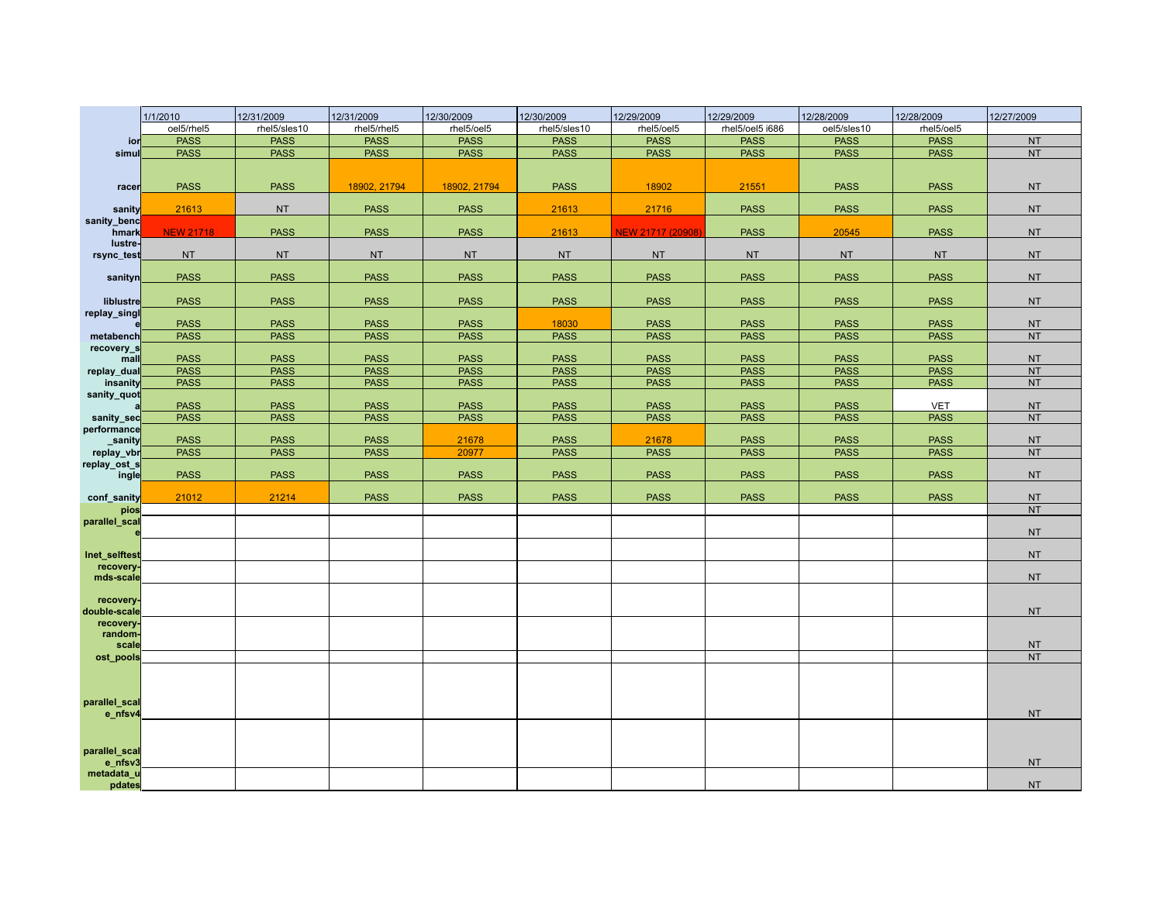|                           | 1/1/2010         | 12/31/2009   | 12/31/2009  | 12/30/2009   | 12/30/2009   | 12/29/2009        | 12/29/2009      | 12/28/2009  | 12/28/2009  | 12/27/2009 |
|---------------------------|------------------|--------------|-------------|--------------|--------------|-------------------|-----------------|-------------|-------------|------------|
|                           | oel5/rhel5       | rhel5/sles10 | rhel5/rhel5 | rhel5/oel5   | rhel5/sles10 | rhel5/oel5        | rhel5/oel5 i686 | oel5/sles10 | rhel5/oel5  |            |
| ior                       | <b>PASS</b>      | <b>PASS</b>  | <b>PASS</b> | <b>PASS</b>  | <b>PASS</b>  | <b>PASS</b>       | <b>PASS</b>     | <b>PASS</b> | <b>PASS</b> | <b>NT</b>  |
| simu                      | <b>PASS</b>      | <b>PASS</b>  | <b>PASS</b> | <b>PASS</b>  | <b>PASS</b>  | <b>PASS</b>       | <b>PASS</b>     | <b>PASS</b> | <b>PASS</b> | <b>NT</b>  |
|                           |                  |              |             |              |              |                   |                 |             |             |            |
| racer                     | <b>PASS</b>      | <b>PASS</b>  | 18902.21794 | 18902, 21794 | <b>PASS</b>  | 18902             | 21551           | <b>PASS</b> | <b>PASS</b> | <b>NT</b>  |
| sanity                    | 21613            | <b>NT</b>    | <b>PASS</b> | <b>PASS</b>  | 21613        | 21716             | <b>PASS</b>     | <b>PASS</b> | <b>PASS</b> | <b>NT</b>  |
| sanity_benc<br>hmark      | <b>NEW 21718</b> | <b>PASS</b>  | <b>PASS</b> | <b>PASS</b>  | 21613        | NEW 21717 (20908) | <b>PASS</b>     | 20545       | <b>PASS</b> | <b>NT</b>  |
| lustre-                   |                  |              |             |              |              |                   |                 |             |             |            |
| rsync_test                | <b>NT</b>        | <b>NT</b>    | <b>NT</b>   | <b>NT</b>    | <b>NT</b>    | <b>NT</b>         | <b>NT</b>       | <b>NT</b>   | <b>NT</b>   | <b>NT</b>  |
| sanityn                   | <b>PASS</b>      | <b>PASS</b>  | <b>PASS</b> | <b>PASS</b>  | <b>PASS</b>  | <b>PASS</b>       | <b>PASS</b>     | <b>PASS</b> | <b>PASS</b> | <b>NT</b>  |
| liblustre                 | <b>PASS</b>      | <b>PASS</b>  | <b>PASS</b> | <b>PASS</b>  | <b>PASS</b>  | <b>PASS</b>       | <b>PASS</b>     | <b>PASS</b> | <b>PASS</b> | <b>NT</b>  |
| replay_singl              | <b>PASS</b>      | <b>PASS</b>  | <b>PASS</b> | <b>PASS</b>  | 18030        | <b>PASS</b>       | <b>PASS</b>     | <b>PASS</b> | <b>PASS</b> | <b>NT</b>  |
| metabench                 | <b>PASS</b>      | <b>PASS</b>  | <b>PASS</b> | <b>PASS</b>  | <b>PASS</b>  | <b>PASS</b>       | <b>PASS</b>     | <b>PASS</b> | <b>PASS</b> | <b>NT</b>  |
| recovery_s                |                  |              |             |              |              |                   |                 |             |             |            |
| mall                      | <b>PASS</b>      | <b>PASS</b>  | <b>PASS</b> | <b>PASS</b>  | <b>PASS</b>  | <b>PASS</b>       | <b>PASS</b>     | <b>PASS</b> | <b>PASS</b> | <b>NT</b>  |
| replay_dual               | <b>PASS</b>      | <b>PASS</b>  | <b>PASS</b> | <b>PASS</b>  | <b>PASS</b>  | <b>PASS</b>       | <b>PASS</b>     | <b>PASS</b> | <b>PASS</b> | <b>NT</b>  |
| insanity                  | <b>PASS</b>      | <b>PASS</b>  | <b>PASS</b> | <b>PASS</b>  | <b>PASS</b>  | <b>PASS</b>       | <b>PASS</b>     | <b>PASS</b> | <b>PASS</b> | <b>NT</b>  |
| sanity_quot               |                  |              |             |              |              |                   |                 |             |             |            |
|                           | <b>PASS</b>      | <b>PASS</b>  | <b>PASS</b> | <b>PASS</b>  | <b>PASS</b>  | <b>PASS</b>       | <b>PASS</b>     | <b>PASS</b> | <b>VET</b>  | <b>NT</b>  |
| sanity_sec                | <b>PASS</b>      | <b>PASS</b>  | <b>PASS</b> | <b>PASS</b>  | <b>PASS</b>  | <b>PASS</b>       | <b>PASS</b>     | <b>PASS</b> | <b>PASS</b> | <b>NT</b>  |
| performance               |                  |              |             |              |              |                   |                 |             |             |            |
| sanity                    | <b>PASS</b>      | <b>PASS</b>  | <b>PASS</b> | 21678        | <b>PASS</b>  | 21678             | <b>PASS</b>     | <b>PASS</b> | <b>PASS</b> | <b>NT</b>  |
| replay_vbr                | <b>PASS</b>      | <b>PASS</b>  | <b>PASS</b> | 20977        | <b>PASS</b>  | <b>PASS</b>       | <b>PASS</b>     | <b>PASS</b> | <b>PASS</b> | NT         |
| replay_ost_s<br>ingle     | <b>PASS</b>      | <b>PASS</b>  | <b>PASS</b> | <b>PASS</b>  | <b>PASS</b>  | <b>PASS</b>       | <b>PASS</b>     | <b>PASS</b> | <b>PASS</b> | <b>NT</b>  |
| conf sanity               | 21012            | 21214        | <b>PASS</b> | <b>PASS</b>  | <b>PASS</b>  | <b>PASS</b>       | <b>PASS</b>     | <b>PASS</b> | <b>PASS</b> | <b>NT</b>  |
| pios                      |                  |              |             |              |              |                   |                 |             |             | <b>NT</b>  |
| parallel_scal             |                  |              |             |              |              |                   |                 |             |             | <b>NT</b>  |
| Inet selftest             |                  |              |             |              |              |                   |                 |             |             | <b>NT</b>  |
| recovery<br>mds-scale     |                  |              |             |              |              |                   |                 |             |             | <b>NT</b>  |
| recovery.<br>double-scale |                  |              |             |              |              |                   |                 |             |             | NT         |
| recovery                  |                  |              |             |              |              |                   |                 |             |             |            |
| random-                   |                  |              |             |              |              |                   |                 |             |             |            |
| scale                     |                  |              |             |              |              |                   |                 |             |             | <b>NT</b>  |
| ost_pools                 |                  |              |             |              |              |                   |                 |             |             | <b>NT</b>  |
|                           |                  |              |             |              |              |                   |                 |             |             |            |
| parallel_scal             |                  |              |             |              |              |                   |                 |             |             |            |
| e_nfsv4                   |                  |              |             |              |              |                   |                 |             |             | <b>NT</b>  |
| parallel_scal<br>e_nfsv3  |                  |              |             |              |              |                   |                 |             |             | <b>NT</b>  |
| metadata_u                |                  |              |             |              |              |                   |                 |             |             |            |
| pdates                    |                  |              |             |              |              |                   |                 |             |             | <b>NT</b>  |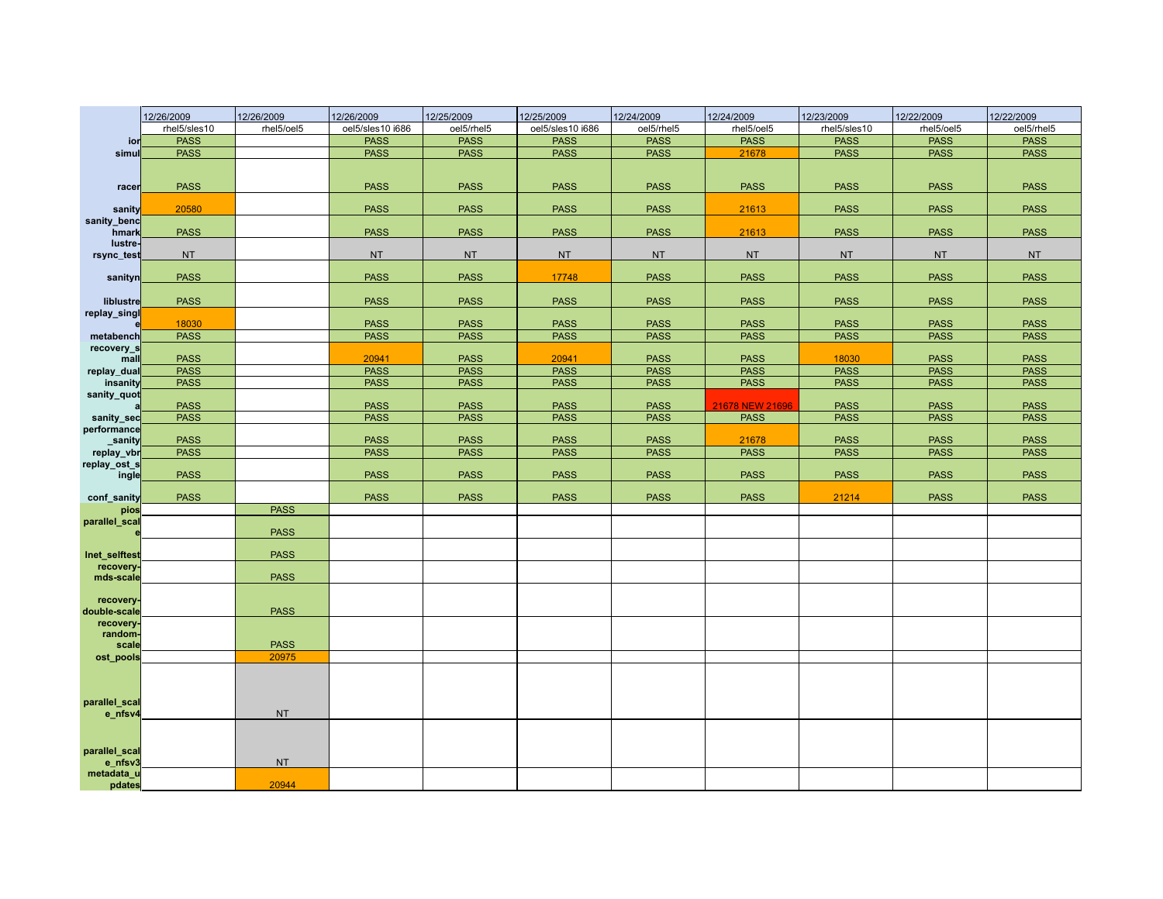|                            | 12/26/2009   | 12/26/2009  | 12/26/2009       | 12/25/2009  | 12/25/2009       | 12/24/2009  | 12/24/2009      | 12/23/2009   | 12/22/2009  | 12/22/2009  |
|----------------------------|--------------|-------------|------------------|-------------|------------------|-------------|-----------------|--------------|-------------|-------------|
|                            | rhel5/sles10 | rhel5/oel5  | oel5/sles10 i686 | oel5/rhel5  | oel5/sles10 i686 | oel5/rhel5  | rhel5/oel5      | rhel5/sles10 | rhel5/oel5  | oel5/rhel5  |
| ior                        | <b>PASS</b>  |             | <b>PASS</b>      | <b>PASS</b> | <b>PASS</b>      | <b>PASS</b> | <b>PASS</b>     | <b>PASS</b>  | <b>PASS</b> | <b>PASS</b> |
| simu                       | <b>PASS</b>  |             | <b>PASS</b>      | <b>PASS</b> | <b>PASS</b>      | <b>PASS</b> | 21678           | <b>PASS</b>  | <b>PASS</b> | <b>PASS</b> |
|                            |              |             |                  |             |                  |             |                 |              |             |             |
| racer                      | <b>PASS</b>  |             | <b>PASS</b>      | <b>PASS</b> | <b>PASS</b>      | <b>PASS</b> | <b>PASS</b>     | <b>PASS</b>  | <b>PASS</b> | <b>PASS</b> |
| sanity                     | 20580        |             | <b>PASS</b>      | <b>PASS</b> | <b>PASS</b>      | <b>PASS</b> | 21613           | <b>PASS</b>  | <b>PASS</b> | <b>PASS</b> |
| sanity_benc<br>hmark       | <b>PASS</b>  |             | <b>PASS</b>      | <b>PASS</b> | <b>PASS</b>      | <b>PASS</b> | 21613           | <b>PASS</b>  | <b>PASS</b> | <b>PASS</b> |
| lustre-<br>rsync_test      | <b>NT</b>    |             | <b>NT</b>        | <b>NT</b>   | <b>NT</b>        | <b>NT</b>   | <b>NT</b>       | <b>NT</b>    | <b>NT</b>   | <b>NT</b>   |
| sanityn                    | <b>PASS</b>  |             | <b>PASS</b>      | <b>PASS</b> | 17748            | <b>PASS</b> | <b>PASS</b>     | <b>PASS</b>  | <b>PASS</b> | <b>PASS</b> |
| liblustre                  | <b>PASS</b>  |             | <b>PASS</b>      | <b>PASS</b> | <b>PASS</b>      | <b>PASS</b> | <b>PASS</b>     | <b>PASS</b>  | <b>PASS</b> | <b>PASS</b> |
| replay_singl               | 18030        |             | <b>PASS</b>      | <b>PASS</b> | <b>PASS</b>      | <b>PASS</b> | <b>PASS</b>     | <b>PASS</b>  | <b>PASS</b> | <b>PASS</b> |
| metabench                  | <b>PASS</b>  |             | <b>PASS</b>      | <b>PASS</b> | <b>PASS</b>      | <b>PASS</b> | <b>PASS</b>     | <b>PASS</b>  | <b>PASS</b> | <b>PASS</b> |
| recovery_s<br>mall         | <b>PASS</b>  |             | 20941            | <b>PASS</b> | 20941            | <b>PASS</b> | <b>PASS</b>     | 18030        | <b>PASS</b> | <b>PASS</b> |
| replay_dual                | <b>PASS</b>  |             | <b>PASS</b>      | <b>PASS</b> | <b>PASS</b>      | <b>PASS</b> | <b>PASS</b>     | <b>PASS</b>  | <b>PASS</b> | <b>PASS</b> |
| insanity                   | <b>PASS</b>  |             | <b>PASS</b>      | <b>PASS</b> | <b>PASS</b>      | <b>PASS</b> | <b>PASS</b>     | <b>PASS</b>  | <b>PASS</b> | <b>PASS</b> |
| sanity_quot                | <b>PASS</b>  |             | <b>PASS</b>      | <b>PASS</b> | <b>PASS</b>      | <b>PASS</b> | 21678 NEW 21696 | <b>PASS</b>  | <b>PASS</b> | <b>PASS</b> |
| sanity_sec                 | <b>PASS</b>  |             | <b>PASS</b>      | <b>PASS</b> | <b>PASS</b>      | <b>PASS</b> | <b>PASS</b>     | <b>PASS</b>  | <b>PASS</b> | <b>PASS</b> |
| performance                |              |             |                  |             |                  |             |                 |              |             |             |
| sanity                     | <b>PASS</b>  |             | <b>PASS</b>      | <b>PASS</b> | <b>PASS</b>      | <b>PASS</b> | 21678           | <b>PASS</b>  | <b>PASS</b> | <b>PASS</b> |
| replay_vbr                 | <b>PASS</b>  |             | <b>PASS</b>      | <b>PASS</b> | <b>PASS</b>      | <b>PASS</b> | <b>PASS</b>     | <b>PASS</b>  | <b>PASS</b> | <b>PASS</b> |
| replay_ost_s<br>ingle      | <b>PASS</b>  |             | <b>PASS</b>      | <b>PASS</b> | <b>PASS</b>      | <b>PASS</b> | <b>PASS</b>     | <b>PASS</b>  | <b>PASS</b> | <b>PASS</b> |
| conf_sanity                | <b>PASS</b>  |             | <b>PASS</b>      | <b>PASS</b> | <b>PASS</b>      | <b>PASS</b> | <b>PASS</b>     | 21214        | <b>PASS</b> | <b>PASS</b> |
| pios                       |              | <b>PASS</b> |                  |             |                  |             |                 |              |             |             |
| parallel_scal              |              | <b>PASS</b> |                  |             |                  |             |                 |              |             |             |
| Inet_selftest<br>recovery- |              | <b>PASS</b> |                  |             |                  |             |                 |              |             |             |
| mds-scale                  |              | <b>PASS</b> |                  |             |                  |             |                 |              |             |             |
| recovery-                  |              |             |                  |             |                  |             |                 |              |             |             |
| double-scale               |              | <b>PASS</b> |                  |             |                  |             |                 |              |             |             |
| recovery-                  |              |             |                  |             |                  |             |                 |              |             |             |
| random-<br>scale           |              | <b>PASS</b> |                  |             |                  |             |                 |              |             |             |
| ost_pools                  |              | 20975       |                  |             |                  |             |                 |              |             |             |
| parallel_scal              |              |             |                  |             |                  |             |                 |              |             |             |
| e_nfsv4<br>parallel_scal   |              | <b>NT</b>   |                  |             |                  |             |                 |              |             |             |
| e_nfsv3<br>metadata_u      |              | <b>NT</b>   |                  |             |                  |             |                 |              |             |             |
| pdates                     |              | 20944       |                  |             |                  |             |                 |              |             |             |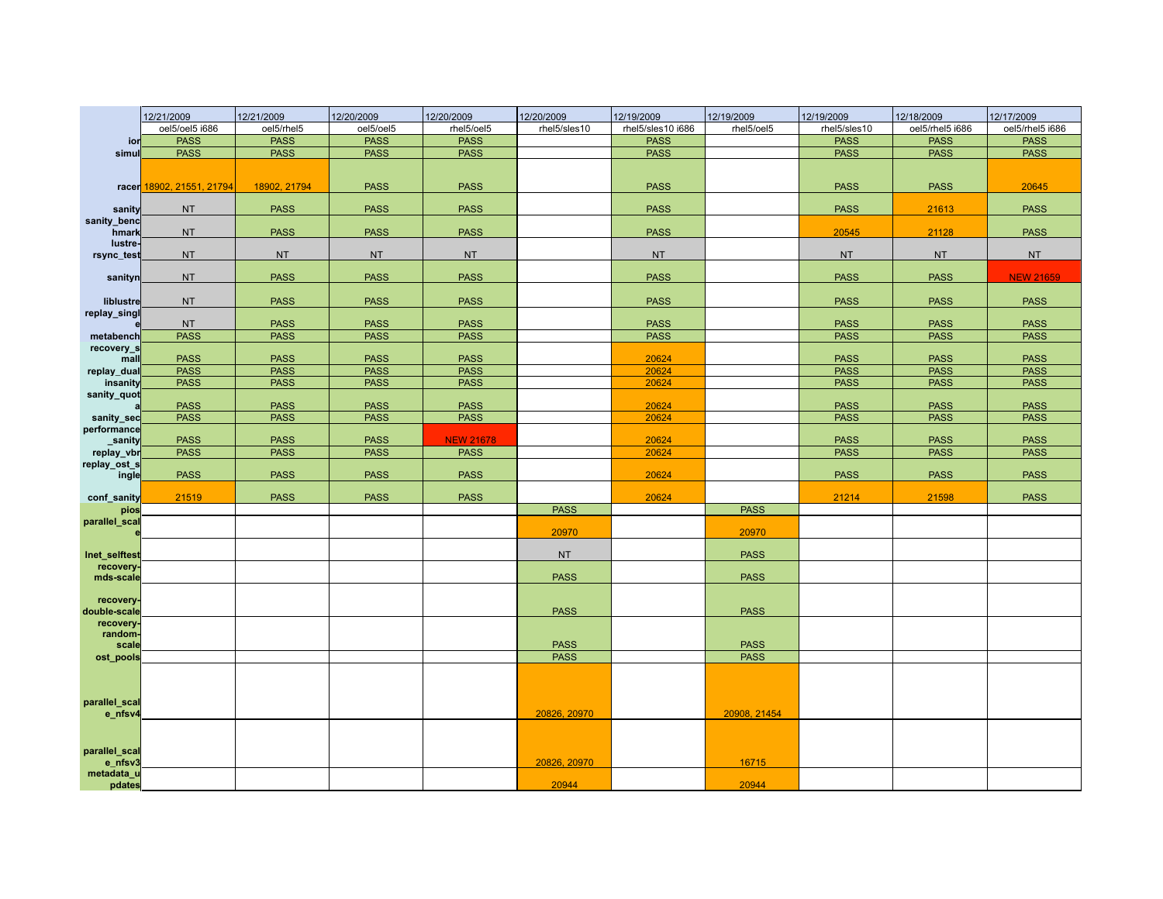|                           | 12/21/2009                | 12/21/2009   | 12/20/2009  | 12/20/2009       | 12/20/2009   | 12/19/2009        | 12/19/2009   | 12/19/2009   | 12/18/2009      | 12/17/2009       |
|---------------------------|---------------------------|--------------|-------------|------------------|--------------|-------------------|--------------|--------------|-----------------|------------------|
|                           | oel5/oel5 i686            | oel5/rhel5   | oel5/oel5   | rhel5/oel5       | rhel5/sles10 | rhel5/sles10 i686 | rhel5/oel5   | rhel5/sles10 | oel5/rhel5 i686 | oel5/rhel5 i686  |
| ior                       | <b>PASS</b>               | <b>PASS</b>  | <b>PASS</b> | <b>PASS</b>      |              | <b>PASS</b>       |              | <b>PASS</b>  | <b>PASS</b>     | <b>PASS</b>      |
| simul                     | <b>PASS</b>               | <b>PASS</b>  | <b>PASS</b> | <b>PASS</b>      |              | <b>PASS</b>       |              | <b>PASS</b>  | <b>PASS</b>     | <b>PASS</b>      |
|                           |                           |              |             |                  |              |                   |              |              |                 |                  |
|                           | racer 18902, 21551, 21794 | 18902, 21794 | <b>PASS</b> | <b>PASS</b>      |              | <b>PASS</b>       |              | <b>PASS</b>  | <b>PASS</b>     | 20645            |
| sanity                    | <b>NT</b>                 | <b>PASS</b>  | <b>PASS</b> | <b>PASS</b>      |              | <b>PASS</b>       |              | <b>PASS</b>  | 21613           | <b>PASS</b>      |
| sanity_benc<br>hmark      | <b>NT</b>                 | <b>PASS</b>  | <b>PASS</b> | <b>PASS</b>      |              | <b>PASS</b>       |              | 20545        | 21128           | <b>PASS</b>      |
| lustre<br>rsync_test      | <b>NT</b>                 | <b>NT</b>    | <b>NT</b>   | <b>NT</b>        |              | <b>NT</b>         |              | NT           | <b>NT</b>       | <b>NT</b>        |
|                           |                           |              |             |                  |              |                   |              |              |                 |                  |
| sanityn                   | <b>NT</b>                 | <b>PASS</b>  | <b>PASS</b> | <b>PASS</b>      |              | <b>PASS</b>       |              | <b>PASS</b>  | <b>PASS</b>     | <b>NEW 21659</b> |
| liblustre<br>replay_singl | <b>NT</b>                 | <b>PASS</b>  | <b>PASS</b> | <b>PASS</b>      |              | <b>PASS</b>       |              | <b>PASS</b>  | <b>PASS</b>     | <b>PASS</b>      |
|                           | <b>NT</b>                 | <b>PASS</b>  | <b>PASS</b> | <b>PASS</b>      |              | <b>PASS</b>       |              | <b>PASS</b>  | <b>PASS</b>     | <b>PASS</b>      |
| metabench                 | <b>PASS</b>               | <b>PASS</b>  | <b>PASS</b> | <b>PASS</b>      |              | <b>PASS</b>       |              | <b>PASS</b>  | <b>PASS</b>     | <b>PASS</b>      |
| recovery_s                |                           |              |             |                  |              |                   |              |              |                 |                  |
| mall                      | <b>PASS</b>               | <b>PASS</b>  | <b>PASS</b> | <b>PASS</b>      |              | 20624             |              | <b>PASS</b>  | <b>PASS</b>     | <b>PASS</b>      |
| replay_dual               | <b>PASS</b>               | <b>PASS</b>  | <b>PASS</b> | <b>PASS</b>      |              | 20624             |              | <b>PASS</b>  | <b>PASS</b>     | <b>PASS</b>      |
| insanity                  | <b>PASS</b>               | <b>PASS</b>  | <b>PASS</b> | <b>PASS</b>      |              | 20624             |              | <b>PASS</b>  | <b>PASS</b>     | <b>PASS</b>      |
| sanity_quot               | <b>PASS</b>               | <b>PASS</b>  | <b>PASS</b> | <b>PASS</b>      |              | 20624             |              | <b>PASS</b>  | <b>PASS</b>     | <b>PASS</b>      |
| sanity_sec                | <b>PASS</b>               | <b>PASS</b>  | <b>PASS</b> | <b>PASS</b>      |              | 20624             |              | <b>PASS</b>  | <b>PASS</b>     | <b>PASS</b>      |
| performance               |                           |              |             |                  |              |                   |              |              |                 |                  |
| sanity                    | <b>PASS</b>               | <b>PASS</b>  | <b>PASS</b> | <b>NEW 21678</b> |              | 20624             |              | <b>PASS</b>  | <b>PASS</b>     | <b>PASS</b>      |
| replay_vbr                | <b>PASS</b>               | <b>PASS</b>  | <b>PASS</b> | <b>PASS</b>      |              | 20624             |              | <b>PASS</b>  | <b>PASS</b>     | <b>PASS</b>      |
| replay_ost_s              |                           |              |             |                  |              |                   |              |              |                 |                  |
| ingle                     | <b>PASS</b>               | <b>PASS</b>  | <b>PASS</b> | <b>PASS</b>      |              | 20624             |              | <b>PASS</b>  | <b>PASS</b>     | <b>PASS</b>      |
| conf_sanity               | 21519                     | <b>PASS</b>  | <b>PASS</b> | <b>PASS</b>      |              | 20624             |              | 21214        | 21598           | <b>PASS</b>      |
| pios                      |                           |              |             |                  | <b>PASS</b>  |                   | <b>PASS</b>  |              |                 |                  |
| parallel_scal             |                           |              |             |                  | 20970        |                   | 20970        |              |                 |                  |
| Inet_selftest             |                           |              |             |                  | <b>NT</b>    |                   | <b>PASS</b>  |              |                 |                  |
| recovery<br>mds-scale     |                           |              |             |                  | <b>PASS</b>  |                   | <b>PASS</b>  |              |                 |                  |
|                           |                           |              |             |                  |              |                   |              |              |                 |                  |
| recovery                  |                           |              |             |                  |              |                   |              |              |                 |                  |
| double-scale              |                           |              |             |                  | <b>PASS</b>  |                   | <b>PASS</b>  |              |                 |                  |
| recovery<br>random-       |                           |              |             |                  |              |                   |              |              |                 |                  |
| scale                     |                           |              |             |                  | <b>PASS</b>  |                   | <b>PASS</b>  |              |                 |                  |
| ost_pools                 |                           |              |             |                  | <b>PASS</b>  |                   | <b>PASS</b>  |              |                 |                  |
|                           |                           |              |             |                  |              |                   |              |              |                 |                  |
| parallel_scal<br>e_nfsv4  |                           |              |             |                  | 20826, 20970 |                   | 20908, 21454 |              |                 |                  |
|                           |                           |              |             |                  |              |                   |              |              |                 |                  |
| parallel_scal<br>e_nfsv3  |                           |              |             |                  | 20826, 20970 |                   | 16715        |              |                 |                  |
| metadata_u<br>pdates      |                           |              |             |                  | 20944        |                   | 20944        |              |                 |                  |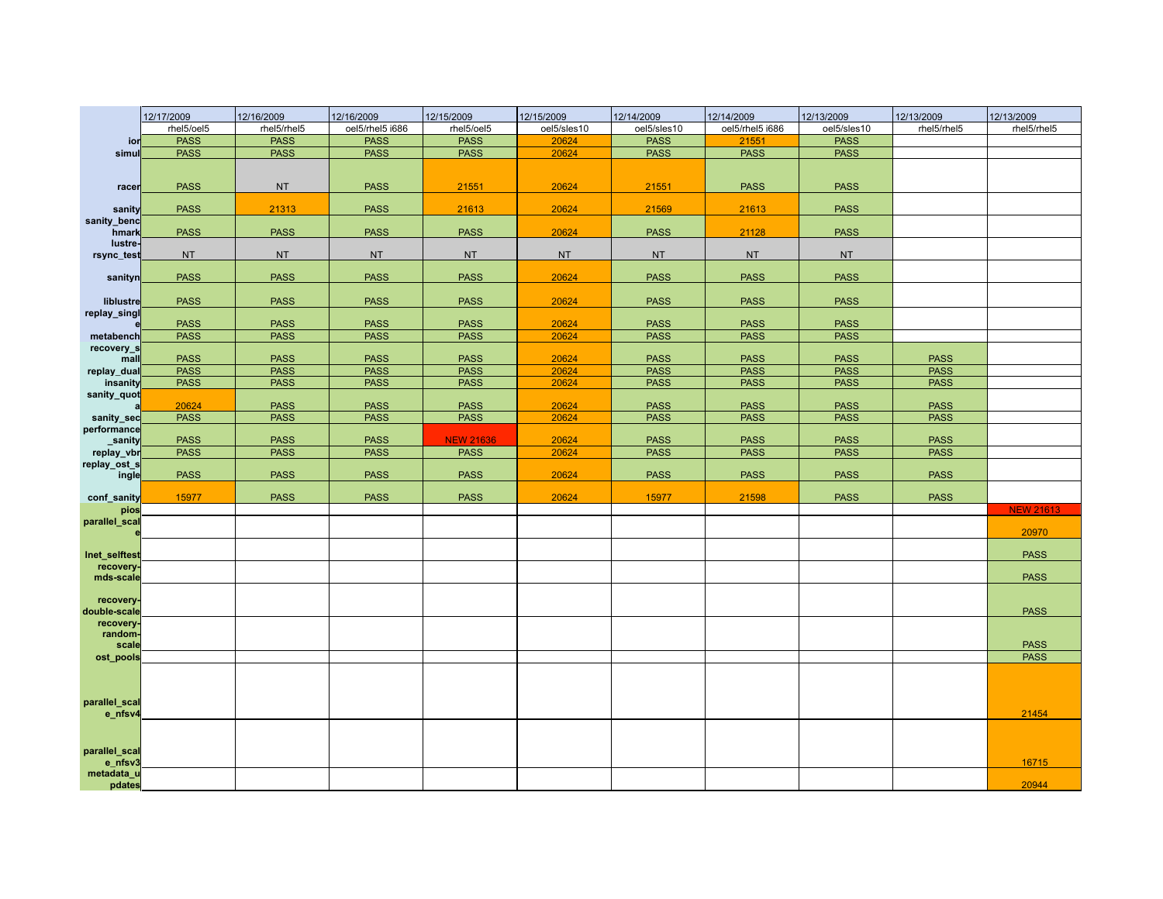|                           | 12/17/2009  | 12/16/2009  | 12/16/2009      | 12/15/2009       | 12/15/2009  | 12/14/2009  | 12/14/2009      | 12/13/2009  | 12/13/2009  | 12/13/2009       |
|---------------------------|-------------|-------------|-----------------|------------------|-------------|-------------|-----------------|-------------|-------------|------------------|
|                           | rhel5/oel5  | rhel5/rhel5 | oel5/rhel5 i686 | rhel5/oel5       | oel5/sles10 | oel5/sles10 | oel5/rhel5 i686 | oel5/sles10 | rhel5/rhel5 | rhel5/rhel5      |
| ior                       | <b>PASS</b> | <b>PASS</b> | <b>PASS</b>     | <b>PASS</b>      | 20624       | <b>PASS</b> | 21551           | <b>PASS</b> |             |                  |
| simu                      | <b>PASS</b> | <b>PASS</b> | <b>PASS</b>     | <b>PASS</b>      | 20624       | <b>PASS</b> | <b>PASS</b>     | <b>PASS</b> |             |                  |
|                           |             |             |                 |                  |             |             |                 |             |             |                  |
| racer                     | <b>PASS</b> | <b>NT</b>   | <b>PASS</b>     | 21551            | 20624       | 21551       | <b>PASS</b>     | <b>PASS</b> |             |                  |
| sanity                    | <b>PASS</b> | 21313       | <b>PASS</b>     | 21613            | 20624       | 21569       | 21613           | <b>PASS</b> |             |                  |
| sanity_benc<br>hmark      | <b>PASS</b> | <b>PASS</b> | <b>PASS</b>     | <b>PASS</b>      | 20624       | <b>PASS</b> | 21128           | <b>PASS</b> |             |                  |
| lustre-<br>rsync_test     | <b>NT</b>   | <b>NT</b>   | <b>NT</b>       | <b>NT</b>        | <b>NT</b>   | <b>NT</b>   | <b>NT</b>       | <b>NT</b>   |             |                  |
| sanityn                   | <b>PASS</b> | <b>PASS</b> | <b>PASS</b>     | <b>PASS</b>      | 20624       | <b>PASS</b> | <b>PASS</b>     | <b>PASS</b> |             |                  |
| liblustre                 | <b>PASS</b> | <b>PASS</b> | <b>PASS</b>     | <b>PASS</b>      | 20624       | <b>PASS</b> | <b>PASS</b>     | <b>PASS</b> |             |                  |
| replay_singl              | <b>PASS</b> | <b>PASS</b> | <b>PASS</b>     | <b>PASS</b>      | 20624       | <b>PASS</b> | <b>PASS</b>     | <b>PASS</b> |             |                  |
| metabench                 | <b>PASS</b> | <b>PASS</b> | <b>PASS</b>     | <b>PASS</b>      | 20624       | <b>PASS</b> | <b>PASS</b>     | <b>PASS</b> |             |                  |
| recovery_s<br>mall        | <b>PASS</b> | <b>PASS</b> | <b>PASS</b>     | <b>PASS</b>      | 20624       | <b>PASS</b> | <b>PASS</b>     | <b>PASS</b> | <b>PASS</b> |                  |
| replay_dual               | <b>PASS</b> | <b>PASS</b> | <b>PASS</b>     | <b>PASS</b>      | 20624       | <b>PASS</b> | <b>PASS</b>     | <b>PASS</b> | <b>PASS</b> |                  |
| insanity                  | <b>PASS</b> | <b>PASS</b> | <b>PASS</b>     | <b>PASS</b>      | 20624       | <b>PASS</b> | <b>PASS</b>     | <b>PASS</b> | <b>PASS</b> |                  |
| sanity_quot               | 20624       | <b>PASS</b> | <b>PASS</b>     | <b>PASS</b>      | 20624       | <b>PASS</b> | <b>PASS</b>     | <b>PASS</b> | <b>PASS</b> |                  |
| sanity_sec                | <b>PASS</b> | <b>PASS</b> | <b>PASS</b>     | <b>PASS</b>      | 20624       | <b>PASS</b> | <b>PASS</b>     | <b>PASS</b> | <b>PASS</b> |                  |
| performance<br>sanity     | <b>PASS</b> | <b>PASS</b> | <b>PASS</b>     | <b>NEW 21636</b> | 20624       | <b>PASS</b> | <b>PASS</b>     | <b>PASS</b> | <b>PASS</b> |                  |
| replay_vbr                | <b>PASS</b> | <b>PASS</b> | <b>PASS</b>     | <b>PASS</b>      | 20624       | <b>PASS</b> | <b>PASS</b>     | <b>PASS</b> | <b>PASS</b> |                  |
| replay_ost_s<br>ingle     | <b>PASS</b> | <b>PASS</b> | <b>PASS</b>     | <b>PASS</b>      | 20624       | <b>PASS</b> | <b>PASS</b>     | <b>PASS</b> | <b>PASS</b> |                  |
| conf sanity               | 15977       | <b>PASS</b> | <b>PASS</b>     | <b>PASS</b>      | 20624       | 15977       | 21598           | <b>PASS</b> | <b>PASS</b> |                  |
| pios                      |             |             |                 |                  |             |             |                 |             |             | <b>NEW 21613</b> |
| parallel_scal             |             |             |                 |                  |             |             |                 |             |             | 20970            |
| Inet_selftest             |             |             |                 |                  |             |             |                 |             |             | <b>PASS</b>      |
| recovery.<br>mds-scale    |             |             |                 |                  |             |             |                 |             |             | <b>PASS</b>      |
| recovery-<br>double-scale |             |             |                 |                  |             |             |                 |             |             | <b>PASS</b>      |
| recovery<br>random-       |             |             |                 |                  |             |             |                 |             |             |                  |
| scale                     |             |             |                 |                  |             |             |                 |             |             | <b>PASS</b>      |
| ost_pools                 |             |             |                 |                  |             |             |                 |             |             | <b>PASS</b>      |
|                           |             |             |                 |                  |             |             |                 |             |             |                  |
| parallel_scal<br>e_nfsv4  |             |             |                 |                  |             |             |                 |             |             | 21454            |
| parallel_scal             |             |             |                 |                  |             |             |                 |             |             |                  |
| e_nfsv3<br>metadata_u     |             |             |                 |                  |             |             |                 |             |             | 16715            |
| pdates                    |             |             |                 |                  |             |             |                 |             |             | 20944            |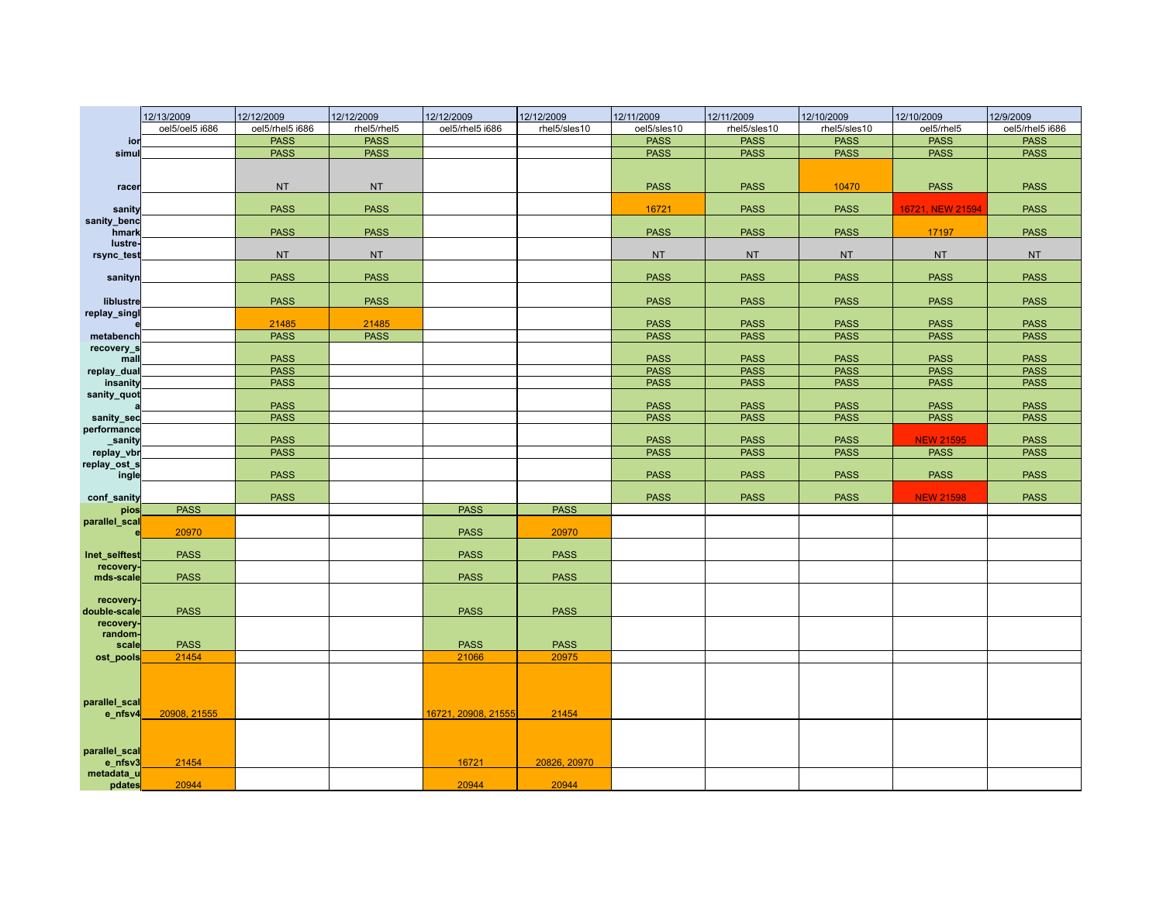|                           | 12/13/2009     | 12/12/2009      | 12/12/2009  | 12/12/2009           | 12/12/2009   | 12/11/2009  | 12/11/2009   | 12/10/2009   | 12/10/2009       | 12/9/2009       |
|---------------------------|----------------|-----------------|-------------|----------------------|--------------|-------------|--------------|--------------|------------------|-----------------|
|                           | oel5/oel5 i686 | oel5/rhel5 i686 | rhel5/rhel5 | oel5/rhel5 i686      | rhel5/sles10 | oel5/sles10 | rhel5/sles10 | rhel5/sles10 | oel5/rhel5       | oel5/rhel5 i686 |
| ior                       |                | <b>PASS</b>     | <b>PASS</b> |                      |              | <b>PASS</b> | <b>PASS</b>  | <b>PASS</b>  | <b>PASS</b>      | <b>PASS</b>     |
| simu                      |                | <b>PASS</b>     | <b>PASS</b> |                      |              | <b>PASS</b> | <b>PASS</b>  | <b>PASS</b>  | <b>PASS</b>      | <b>PASS</b>     |
|                           |                |                 |             |                      |              |             |              |              |                  |                 |
|                           |                | <b>NT</b>       | <b>NT</b>   |                      |              | <b>PASS</b> | <b>PASS</b>  | 10470        | <b>PASS</b>      | <b>PASS</b>     |
| racer                     |                |                 |             |                      |              |             |              |              |                  |                 |
| sanity                    |                | <b>PASS</b>     | <b>PASS</b> |                      |              | 16721       | <b>PASS</b>  | <b>PASS</b>  | 16721, NEW 21594 | <b>PASS</b>     |
| sanity_benc<br>hmark      |                | <b>PASS</b>     | <b>PASS</b> |                      |              | <b>PASS</b> | <b>PASS</b>  | <b>PASS</b>  | 17197            | <b>PASS</b>     |
| lustre-                   |                |                 |             |                      |              |             |              |              |                  |                 |
| rsync_test                |                | <b>NT</b>       | <b>NT</b>   |                      |              | <b>NT</b>   | <b>NT</b>    | <b>NT</b>    | <b>NT</b>        | <b>NT</b>       |
| sanityn                   |                | <b>PASS</b>     | <b>PASS</b> |                      |              | <b>PASS</b> | <b>PASS</b>  | <b>PASS</b>  | <b>PASS</b>      | <b>PASS</b>     |
| liblustre                 |                | <b>PASS</b>     | <b>PASS</b> |                      |              | <b>PASS</b> | <b>PASS</b>  | <b>PASS</b>  | <b>PASS</b>      | <b>PASS</b>     |
| replay_singl              |                |                 |             |                      |              |             |              |              |                  |                 |
|                           |                | 21485           | 21485       |                      |              | <b>PASS</b> | <b>PASS</b>  | <b>PASS</b>  | <b>PASS</b>      | <b>PASS</b>     |
| metabench                 |                | <b>PASS</b>     | <b>PASS</b> |                      |              | <b>PASS</b> | <b>PASS</b>  | <b>PASS</b>  | <b>PASS</b>      | <b>PASS</b>     |
| recovery_s<br>mal         |                | <b>PASS</b>     |             |                      |              | <b>PASS</b> | <b>PASS</b>  | <b>PASS</b>  | <b>PASS</b>      | <b>PASS</b>     |
| replay_dual               |                | <b>PASS</b>     |             |                      |              | <b>PASS</b> | <b>PASS</b>  | <b>PASS</b>  | <b>PASS</b>      | <b>PASS</b>     |
| insanity                  |                | <b>PASS</b>     |             |                      |              | <b>PASS</b> | <b>PASS</b>  | <b>PASS</b>  | <b>PASS</b>      | <b>PASS</b>     |
| sanity_quot               |                |                 |             |                      |              |             |              |              |                  |                 |
|                           |                | <b>PASS</b>     |             |                      |              | <b>PASS</b> | <b>PASS</b>  | <b>PASS</b>  | <b>PASS</b>      | <b>PASS</b>     |
| sanity_sec<br>performance |                | <b>PASS</b>     |             |                      |              | <b>PASS</b> | <b>PASS</b>  | <b>PASS</b>  | <b>PASS</b>      | <b>PASS</b>     |
| sanity                    |                | <b>PASS</b>     |             |                      |              | <b>PASS</b> | <b>PASS</b>  | <b>PASS</b>  | <b>NEW 21595</b> | <b>PASS</b>     |
| replay_vbr                |                | <b>PASS</b>     |             |                      |              | <b>PASS</b> | <b>PASS</b>  | <b>PASS</b>  | <b>PASS</b>      | <b>PASS</b>     |
| replay_ost_s              |                |                 |             |                      |              |             |              |              |                  |                 |
| ingle                     |                | <b>PASS</b>     |             |                      |              | <b>PASS</b> | <b>PASS</b>  | <b>PASS</b>  | <b>PASS</b>      | <b>PASS</b>     |
| conf_sanity               |                | <b>PASS</b>     |             |                      |              | <b>PASS</b> | <b>PASS</b>  | <b>PASS</b>  | <b>NEW 21598</b> | <b>PASS</b>     |
| pios                      | <b>PASS</b>    |                 |             | <b>PASS</b>          | <b>PASS</b>  |             |              |              |                  |                 |
| parallel_scal             | 20970          |                 |             | <b>PASS</b>          | 20970        |             |              |              |                  |                 |
| Inet_selftest             | <b>PASS</b>    |                 |             | <b>PASS</b>          | <b>PASS</b>  |             |              |              |                  |                 |
| recovery                  |                |                 |             |                      |              |             |              |              |                  |                 |
| mds-scale                 | <b>PASS</b>    |                 |             | <b>PASS</b>          | <b>PASS</b>  |             |              |              |                  |                 |
| recovery.                 |                |                 |             |                      |              |             |              |              |                  |                 |
| double-scale              | <b>PASS</b>    |                 |             | <b>PASS</b>          | <b>PASS</b>  |             |              |              |                  |                 |
| recovery                  |                |                 |             |                      |              |             |              |              |                  |                 |
| random-                   |                |                 |             |                      |              |             |              |              |                  |                 |
| scale                     | <b>PASS</b>    |                 |             | <b>PASS</b><br>21066 | <b>PASS</b>  |             |              |              |                  |                 |
| ost_pools                 | 21454          |                 |             |                      | 20975        |             |              |              |                  |                 |
|                           |                |                 |             |                      |              |             |              |              |                  |                 |
|                           |                |                 |             |                      |              |             |              |              |                  |                 |
| parallel_scal<br>e_nfsv4  | 20908, 21555   |                 |             | 16721, 20908, 21555  | 21454        |             |              |              |                  |                 |
|                           |                |                 |             |                      |              |             |              |              |                  |                 |
|                           |                |                 |             |                      |              |             |              |              |                  |                 |
| parallel_scal             |                |                 |             |                      |              |             |              |              |                  |                 |
| e_nfsv3                   | 21454          |                 |             | 16721                | 20826, 20970 |             |              |              |                  |                 |
| metadata_u<br>pdates      | 20944          |                 |             | 20944                | 20944        |             |              |              |                  |                 |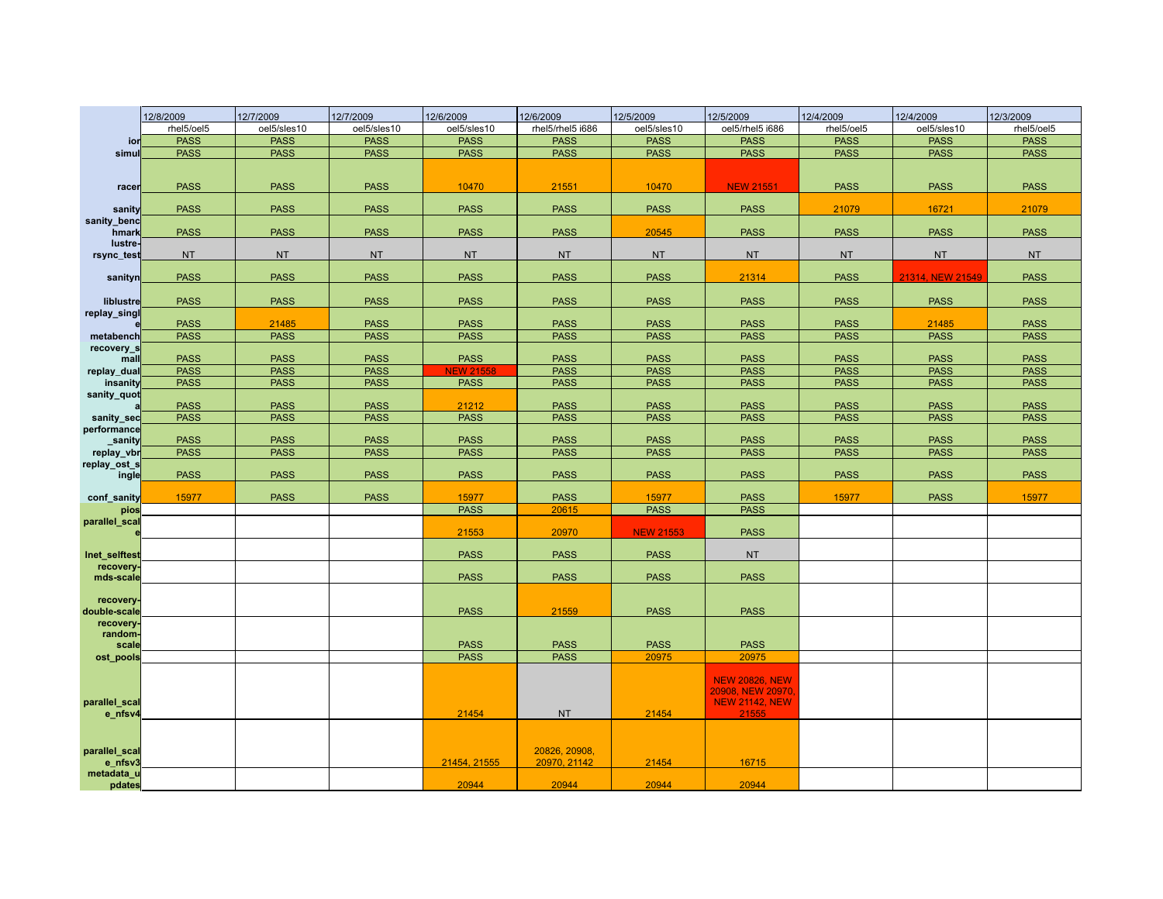|                                  | 12/8/2009                  | 12/7/2009                  | 12/7/2009                  | 12/6/2009            | 12/6/2009                     | 12/5/2009                  | 12/5/2009                                 | 12/4/2009                  | 12/4/2009                  | 12/3/2009                  |
|----------------------------------|----------------------------|----------------------------|----------------------------|----------------------|-------------------------------|----------------------------|-------------------------------------------|----------------------------|----------------------------|----------------------------|
|                                  | rhel5/oel5                 | oel5/sles10                | oel5/sles10                | oel5/sles10          | rhel5/rhel5 i686              | oel5/sles10                | oel5/rhel5 i686                           | rhel5/oel5                 | oel5/sles10                | rhel5/oel5                 |
| ior                              | <b>PASS</b>                | <b>PASS</b>                | <b>PASS</b>                | <b>PASS</b>          | <b>PASS</b>                   | <b>PASS</b>                | <b>PASS</b>                               | <b>PASS</b>                | <b>PASS</b>                | <b>PASS</b>                |
| simu                             | <b>PASS</b>                | <b>PASS</b>                | <b>PASS</b>                | <b>PASS</b>          | <b>PASS</b>                   | <b>PASS</b>                | <b>PASS</b>                               | <b>PASS</b>                | <b>PASS</b>                | <b>PASS</b>                |
| racer                            | <b>PASS</b>                | <b>PASS</b>                | <b>PASS</b>                | 10470                | 21551                         | 10470                      | <b>NEW 21551</b>                          | <b>PASS</b>                | <b>PASS</b>                | <b>PASS</b>                |
| sanity                           | <b>PASS</b>                | <b>PASS</b>                | <b>PASS</b>                | <b>PASS</b>          | <b>PASS</b>                   | <b>PASS</b>                | <b>PASS</b>                               | 21079                      | 16721                      | 21079                      |
| sanity_benc<br>hmark             | <b>PASS</b>                | <b>PASS</b>                | <b>PASS</b>                | <b>PASS</b>          | <b>PASS</b>                   | 20545                      | <b>PASS</b>                               | <b>PASS</b>                | <b>PASS</b>                | <b>PASS</b>                |
| lustre-<br>rsync_test            | <b>NT</b>                  | <b>NT</b>                  | <b>NT</b>                  | <b>NT</b>            | <b>NT</b>                     | <b>NT</b>                  | <b>NT</b>                                 | <b>NT</b>                  | <b>NT</b>                  | <b>NT</b>                  |
| sanityn                          | <b>PASS</b>                | <b>PASS</b>                | <b>PASS</b>                | <b>PASS</b>          | <b>PASS</b>                   | <b>PASS</b>                | 21314                                     | <b>PASS</b>                | 21314, NEW 21549           | <b>PASS</b>                |
| <b>liblustre</b><br>replay_singl | <b>PASS</b>                | <b>PASS</b>                | <b>PASS</b>                | <b>PASS</b>          | <b>PASS</b>                   | <b>PASS</b>                | <b>PASS</b>                               | <b>PASS</b>                | <b>PASS</b>                | <b>PASS</b>                |
|                                  | <b>PASS</b>                | 21485                      | <b>PASS</b>                | <b>PASS</b>          | <b>PASS</b>                   | <b>PASS</b>                | <b>PASS</b>                               | <b>PASS</b>                | 21485                      | <b>PASS</b>                |
| metabench                        | <b>PASS</b>                | <b>PASS</b>                | <b>PASS</b>                | <b>PASS</b>          | <b>PASS</b>                   | <b>PASS</b>                | <b>PASS</b>                               | <b>PASS</b>                | <b>PASS</b>                | <b>PASS</b>                |
| recovery_s<br>mall               | <b>PASS</b>                | <b>PASS</b>                | <b>PASS</b>                | <b>PASS</b>          | <b>PASS</b>                   | <b>PASS</b>                | <b>PASS</b>                               | <b>PASS</b>                | <b>PASS</b>                | <b>PASS</b>                |
| replay_dual                      | <b>PASS</b>                | <b>PASS</b>                | <b>PASS</b>                | <b>NEW 21558</b>     | <b>PASS</b>                   | <b>PASS</b>                | <b>PASS</b>                               | <b>PASS</b>                | <b>PASS</b>                | <b>PASS</b>                |
| insanity                         | <b>PASS</b>                | <b>PASS</b>                | <b>PASS</b>                | <b>PASS</b>          | <b>PASS</b>                   | <b>PASS</b>                | <b>PASS</b>                               | <b>PASS</b>                | <b>PASS</b>                | <b>PASS</b>                |
| sanity_quot                      | <b>PASS</b><br><b>PASS</b> | <b>PASS</b><br><b>PASS</b> | <b>PASS</b><br><b>PASS</b> | 21212<br><b>PASS</b> | <b>PASS</b><br><b>PASS</b>    | <b>PASS</b><br><b>PASS</b> | <b>PASS</b><br><b>PASS</b>                | <b>PASS</b><br><b>PASS</b> | <b>PASS</b><br><b>PASS</b> | <b>PASS</b><br><b>PASS</b> |
| sanity_sec<br>performance        |                            |                            |                            |                      |                               |                            |                                           |                            |                            |                            |
| sanity                           | <b>PASS</b>                | <b>PASS</b>                | <b>PASS</b>                | <b>PASS</b>          | <b>PASS</b>                   | <b>PASS</b>                | <b>PASS</b>                               | <b>PASS</b>                | <b>PASS</b>                | <b>PASS</b>                |
| replay_vbr                       | <b>PASS</b>                | <b>PASS</b>                | <b>PASS</b>                | <b>PASS</b>          | <b>PASS</b>                   | <b>PASS</b>                | <b>PASS</b>                               | <b>PASS</b>                | <b>PASS</b>                | <b>PASS</b>                |
| replay_ost_s<br>ingle            | <b>PASS</b>                | <b>PASS</b>                | <b>PASS</b>                | <b>PASS</b>          | <b>PASS</b>                   | <b>PASS</b>                | <b>PASS</b>                               | <b>PASS</b>                | <b>PASS</b>                | <b>PASS</b>                |
| conf sanity                      | 15977                      | <b>PASS</b>                | <b>PASS</b>                | 15977                | <b>PASS</b>                   | 15977                      | <b>PASS</b>                               | 15977                      | <b>PASS</b>                | 15977                      |
| pios                             |                            |                            |                            | <b>PASS</b>          | 20615                         | <b>PASS</b>                | <b>PASS</b>                               |                            |                            |                            |
| parallel_scal                    |                            |                            |                            | 21553                | 20970                         | <b>NEW 21553</b>           | <b>PASS</b>                               |                            |                            |                            |
| Inet selftest                    |                            |                            |                            | <b>PASS</b>          | <b>PASS</b>                   | <b>PASS</b>                | <b>NT</b>                                 |                            |                            |                            |
| recovery.<br>mds-scale           |                            |                            |                            | <b>PASS</b>          | <b>PASS</b>                   | <b>PASS</b>                | <b>PASS</b>                               |                            |                            |                            |
| recovery-<br>double-scale        |                            |                            |                            | <b>PASS</b>          | 21559                         | <b>PASS</b>                | <b>PASS</b>                               |                            |                            |                            |
| recovery-<br>random-<br>scale    |                            |                            |                            | <b>PASS</b>          | <b>PASS</b>                   | <b>PASS</b>                | <b>PASS</b>                               |                            |                            |                            |
| ost_pools                        |                            |                            |                            | <b>PASS</b>          | <b>PASS</b>                   | 20975                      | 20975                                     |                            |                            |                            |
|                                  |                            |                            |                            |                      |                               |                            | <b>NEW 20826, NEW</b><br>20908, NEW 20970 |                            |                            |                            |
| parallel_scal<br>e_nfsv4         |                            |                            |                            | 21454                | <b>NT</b>                     | 21454                      | <b>NEW 21142, NEW</b><br>21555            |                            |                            |                            |
| parallel_scal<br>e_nfsv3         |                            |                            |                            | 21454, 21555         | 20826, 20908,<br>20970, 21142 | 21454                      | 16715                                     |                            |                            |                            |
| metadata_u                       |                            |                            |                            |                      |                               |                            |                                           |                            |                            |                            |
| pdates                           |                            |                            |                            | 20944                | 20944                         | 20944                      | 20944                                     |                            |                            |                            |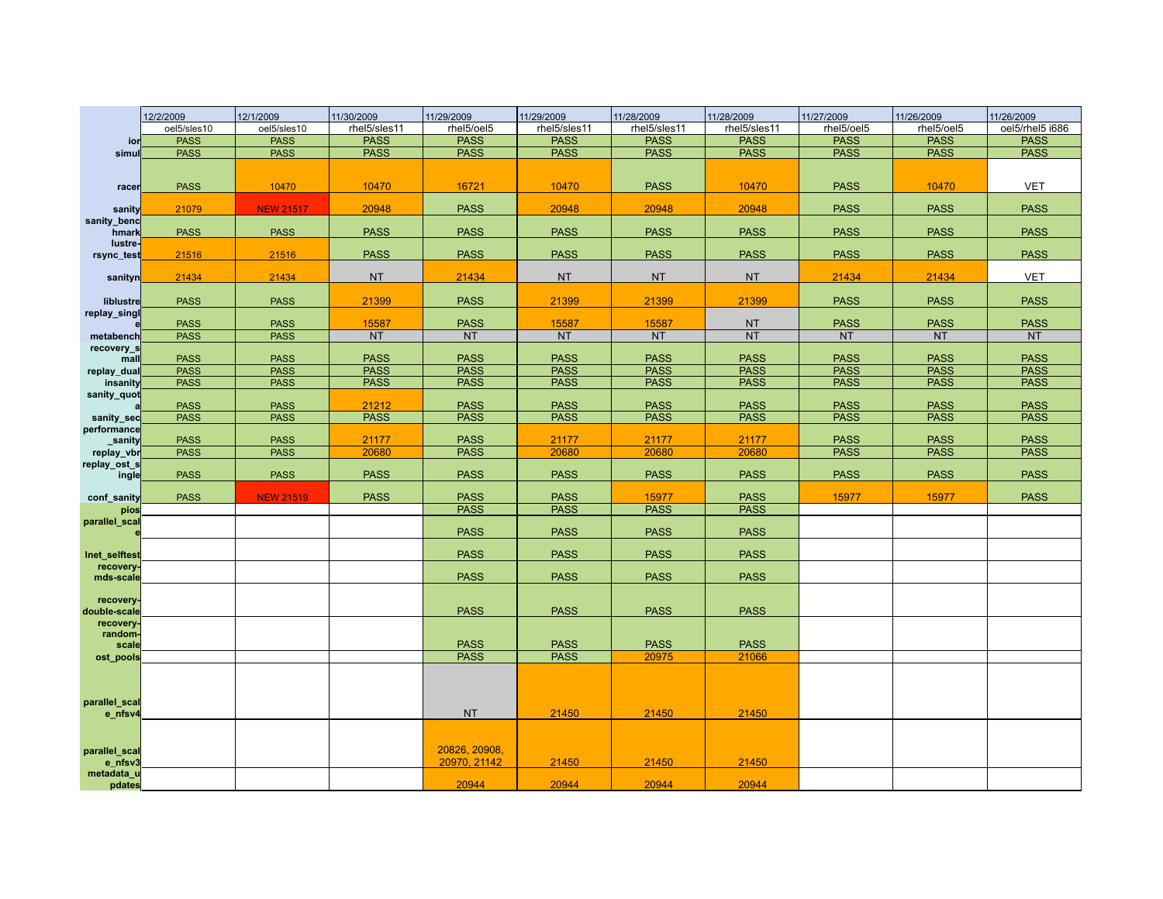|                            | 12/2/2009   | 12/1/2009        | 11/30/2009   | 11/29/2009                 | 11/29/2009   | 11/28/2009     | 11/28/2009     | 11/27/2009                 | 11/26/2009                 | 11/26/2009                 |
|----------------------------|-------------|------------------|--------------|----------------------------|--------------|----------------|----------------|----------------------------|----------------------------|----------------------------|
|                            | oel5/sles10 | oel5/sles10      | rhel5/sles11 | rhel5/oel5                 | rhel5/sles11 | rhel5/sles11   | rhel5/sles11   | rhel5/oel5                 | rhel5/oel5                 | oel5/rhel5 i686            |
| ior                        | <b>PASS</b> | <b>PASS</b>      | <b>PASS</b>  | <b>PASS</b>                | <b>PASS</b>  | <b>PASS</b>    | <b>PASS</b>    | <b>PASS</b>                | <b>PASS</b>                | <b>PASS</b>                |
| simul                      | <b>PASS</b> | <b>PASS</b>      | <b>PASS</b>  | <b>PASS</b>                | <b>PASS</b>  | <b>PASS</b>    | <b>PASS</b>    | <b>PASS</b>                | <b>PASS</b>                | <b>PASS</b>                |
|                            |             |                  |              |                            |              |                |                |                            |                            |                            |
| racer                      | <b>PASS</b> | 10470            | 10470        | 16721                      | 10470        | <b>PASS</b>    | 10470          | <b>PASS</b>                | 10470                      | <b>VET</b>                 |
|                            | 21079       | <b>NEW 21517</b> | 20948        | <b>PASS</b>                | 20948        | 20948          | 20948          | <b>PASS</b>                | <b>PASS</b>                | <b>PASS</b>                |
| sanity<br>sanity_benc      |             |                  |              |                            |              |                |                |                            |                            |                            |
| hmark                      | <b>PASS</b> | <b>PASS</b>      | <b>PASS</b>  | <b>PASS</b>                | <b>PASS</b>  | <b>PASS</b>    | <b>PASS</b>    | <b>PASS</b>                | <b>PASS</b>                | <b>PASS</b>                |
| lustre-<br>rsync_test      | 21516       | 21516            | <b>PASS</b>  | <b>PASS</b>                | <b>PASS</b>  | <b>PASS</b>    | <b>PASS</b>    | <b>PASS</b>                | <b>PASS</b>                | <b>PASS</b>                |
|                            | 21434       | 21434            | <b>NT</b>    | 21434                      | <b>NT</b>    | <b>NT</b>      | <b>NT</b>      | 21434                      | 21434                      | <b>VET</b>                 |
| sanityn                    |             |                  |              |                            |              |                |                |                            |                            |                            |
| liblustre                  | <b>PASS</b> | <b>PASS</b>      | 21399        | <b>PASS</b>                | 21399        | 21399          | 21399          | <b>PASS</b>                | <b>PASS</b>                | <b>PASS</b>                |
| replay_singl               | <b>PASS</b> | <b>PASS</b>      | 15587        | <b>PASS</b>                | 15587        | 15587          | <b>NT</b>      | <b>PASS</b>                | <b>PASS</b>                | <b>PASS</b>                |
| metabench                  | <b>PASS</b> | <b>PASS</b>      | NT           | <b>NT</b>                  | <b>NT</b>    | <b>NT</b>      | <b>NT</b>      | <b>NT</b>                  | <b>NT</b>                  | <b>NT</b>                  |
| recovery_s                 |             |                  |              |                            |              |                |                |                            |                            |                            |
| mall                       | <b>PASS</b> | <b>PASS</b>      | <b>PASS</b>  | <b>PASS</b>                | <b>PASS</b>  | <b>PASS</b>    | <b>PASS</b>    | <b>PASS</b>                | <b>PASS</b>                | <b>PASS</b>                |
| replay_dual                | <b>PASS</b> | <b>PASS</b>      | <b>PASS</b>  | <b>PASS</b>                | <b>PASS</b>  | <b>PASS</b>    | <b>PASS</b>    | <b>PASS</b>                | <b>PASS</b>                | <b>PASS</b>                |
| insanity<br>sanity_quot    | <b>PASS</b> | <b>PASS</b>      | <b>PASS</b>  | <b>PASS</b>                | <b>PASS</b>  | <b>PASS</b>    | <b>PASS</b>    | <b>PASS</b>                | <b>PASS</b>                | <b>PASS</b>                |
|                            | <b>PASS</b> | <b>PASS</b>      | 21212        | <b>PASS</b>                | <b>PASS</b>  | <b>PASS</b>    | <b>PASS</b>    | <b>PASS</b>                | <b>PASS</b>                | <b>PASS</b>                |
| sanity_sec                 | <b>PASS</b> | <b>PASS</b>      | <b>PASS</b>  | <b>PASS</b>                | <b>PASS</b>  | <b>PASS</b>    | <b>PASS</b>    | <b>PASS</b>                | <b>PASS</b>                | <b>PASS</b>                |
| performance                |             |                  |              |                            |              |                |                |                            |                            |                            |
| sanity                     | <b>PASS</b> | <b>PASS</b>      | 21177        | <b>PASS</b><br><b>PASS</b> | 21177        | 21177<br>20680 | 21177<br>20680 | <b>PASS</b><br><b>PASS</b> | <b>PASS</b><br><b>PASS</b> | <b>PASS</b><br><b>PASS</b> |
| replay_vbr<br>replay_ost_s | <b>PASS</b> | <b>PASS</b>      | 20680        |                            | 20680        |                |                |                            |                            |                            |
| ingle                      | <b>PASS</b> | <b>PASS</b>      | <b>PASS</b>  | <b>PASS</b>                | <b>PASS</b>  | <b>PASS</b>    | <b>PASS</b>    | <b>PASS</b>                | <b>PASS</b>                | <b>PASS</b>                |
| conf sanity                | <b>PASS</b> | <b>NEW 21519</b> | <b>PASS</b>  | <b>PASS</b>                | <b>PASS</b>  | 15977          | <b>PASS</b>    | 15977                      | 15977                      | <b>PASS</b>                |
| pios                       |             |                  |              | <b>PASS</b>                | <b>PASS</b>  | <b>PASS</b>    | <b>PASS</b>    |                            |                            |                            |
| parallel_scal              |             |                  |              | <b>PASS</b>                | <b>PASS</b>  | <b>PASS</b>    | <b>PASS</b>    |                            |                            |                            |
|                            |             |                  |              |                            |              |                |                |                            |                            |                            |
| Inet selftest<br>recovery- |             |                  |              | <b>PASS</b>                | <b>PASS</b>  | <b>PASS</b>    | <b>PASS</b>    |                            |                            |                            |
| mds-scale                  |             |                  |              | <b>PASS</b>                | <b>PASS</b>  | <b>PASS</b>    | <b>PASS</b>    |                            |                            |                            |
| recovery-                  |             |                  |              |                            |              |                |                |                            |                            |                            |
| double-scale               |             |                  |              | <b>PASS</b>                | <b>PASS</b>  | <b>PASS</b>    | <b>PASS</b>    |                            |                            |                            |
| recovery-                  |             |                  |              |                            |              |                |                |                            |                            |                            |
| random-<br>scale           |             |                  |              | <b>PASS</b>                | <b>PASS</b>  | <b>PASS</b>    | <b>PASS</b>    |                            |                            |                            |
| ost_pools                  |             |                  |              | <b>PASS</b>                | <b>PASS</b>  | 20975          | 21066          |                            |                            |                            |
|                            |             |                  |              |                            |              |                |                |                            |                            |                            |
|                            |             |                  |              |                            |              |                |                |                            |                            |                            |
| parallel_scal              |             |                  |              |                            |              |                |                |                            |                            |                            |
| e_nfsv4                    |             |                  |              | <b>NT</b>                  | 21450        | 21450          | 21450          |                            |                            |                            |
|                            |             |                  |              |                            |              |                |                |                            |                            |                            |
| parallel_scal              |             |                  |              | 20826, 20908,              |              |                |                |                            |                            |                            |
| e_nfsv3                    |             |                  |              | 20970, 21142               | 21450        | 21450          | 21450          |                            |                            |                            |
| metadata_u<br>pdates       |             |                  |              | 20944                      | 20944        | 20944          | 20944          |                            |                            |                            |